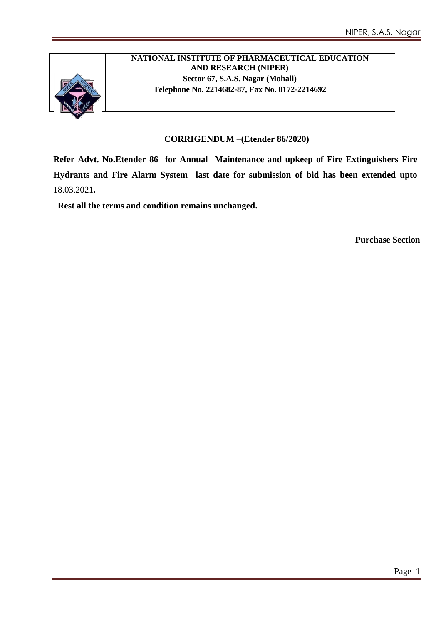

### **NATIONAL INSTITUTE OF PHARMACEUTICAL EDUCATION AND RESEARCH (NIPER) Sector 67, S.A.S. Nagar (Mohali) Telephone No. 2214682-87, Fax No. 0172-2214692**

#### **CORRIGENDUM –(Etender 86/2020)**

**Refer Advt. No.Etender 86 for Annual Maintenance and upkeep of Fire Extinguishers Fire Hydrants and Fire Alarm System last date for submission of bid has been extended upto**  18.03.2021**.**

 **Rest all the terms and condition remains unchanged.** 

**Purchase Section**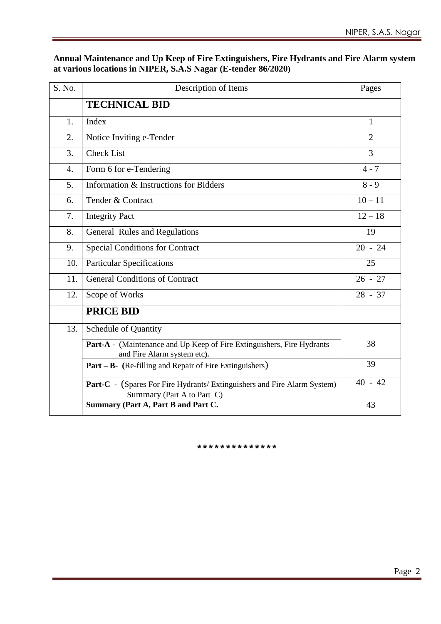#### **Annual Maintenance and Up Keep of Fire Extinguishers, Fire Hydrants and Fire Alarm system at various locations in NIPER, S.A.S Nagar (E-tender 86/2020)**

| S. No.           | Description of Items                                                                                          | Pages          |
|------------------|---------------------------------------------------------------------------------------------------------------|----------------|
|                  | <b>TECHNICAL BID</b>                                                                                          |                |
| 1.               | Index                                                                                                         | 1              |
| 2.               | Notice Inviting e-Tender                                                                                      | $\overline{2}$ |
| 3.               | <b>Check List</b>                                                                                             | $\overline{3}$ |
| $\overline{4}$ . | Form 6 for e-Tendering                                                                                        | $4 - 7$        |
| 5.               | Information & Instructions for Bidders                                                                        | $8 - 9$        |
| 6.               | Tender & Contract                                                                                             | $10 - 11$      |
| 7.               | <b>Integrity Pact</b>                                                                                         | $12 - 18$      |
| 8.               | General Rules and Regulations                                                                                 | 19             |
| 9.               | <b>Special Conditions for Contract</b>                                                                        | $20 - 24$      |
| 10.              | <b>Particular Specifications</b>                                                                              | 25             |
| 11.              | <b>General Conditions of Contract</b>                                                                         | $26 - 27$      |
| 12.              | Scope of Works                                                                                                | $28 - 37$      |
|                  | <b>PRICE BID</b>                                                                                              |                |
| 13.              | Schedule of Quantity                                                                                          |                |
|                  | Part-A - (Maintenance and Up Keep of Fire Extinguishers, Fire Hydrants<br>and Fire Alarm system etc).         | 38             |
|                  | <b>Part – B-</b> (Re-filling and Repair of Fire Extinguishers)                                                | 39             |
|                  | <b>Part-C</b> - (Spares For Fire Hydrants/ Extinguishers and Fire Alarm System)<br>Summary (Part A to Part C) | $40 - 42$      |
|                  | Summary (Part A, Part B and Part C.                                                                           | 43             |

\*\*\*\*\*\*\*\*\*\*\*\*\*\*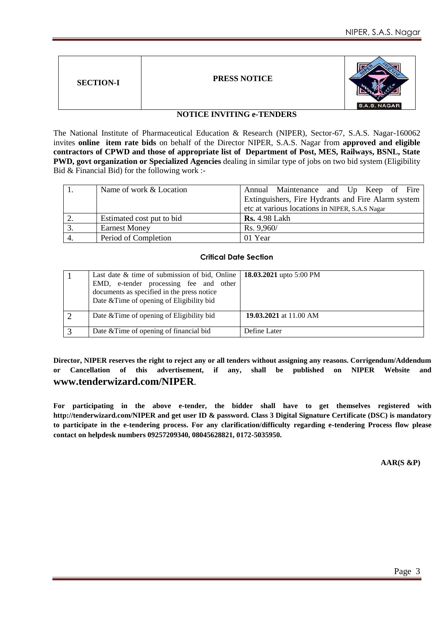| <b>PRESS NOTICE</b><br><b>SECTION-I</b> | S.A.S. NAGAR |
|-----------------------------------------|--------------|
|-----------------------------------------|--------------|

#### **NOTICE INVITING e-TENDERS**

The National Institute of Pharmaceutical Education & Research (NIPER), Sector-67, S.A.S. Nagar-160062 invites **online item rate bids** on behalf of the Director NIPER, S.A.S. Nagar from **approved and eligible contractors of CPWD and those of appropriate list of Department of Post, MES, Railways, BSNL, State PWD, govt organization or Specialized Agencies** dealing in similar type of jobs on two bid system (Eligibility Bid & Financial Bid) for the following work :-

| Name of work & Location   | Annual Maintenance and Up Keep of Fire<br>Extinguishers, Fire Hydrants and Fire Alarm system<br>etc at various locations in NIPER, S.A.S Nagar |
|---------------------------|------------------------------------------------------------------------------------------------------------------------------------------------|
| Estimated cost put to bid | <b>Rs.</b> 4.98 Lakh                                                                                                                           |
| <b>Earnest Money</b>      | Rs. 9,960/                                                                                                                                     |
| Period of Completion      | 01 Year                                                                                                                                        |

#### **Critical Date Section**

| Last date & time of submission of bid, Online   $18.03.2021$ upto 5:00 PM<br>EMD, e-tender processing fee and other<br>documents as specified in the press notice<br>Date & Time of opening of Eligibility bid |                        |
|----------------------------------------------------------------------------------------------------------------------------------------------------------------------------------------------------------------|------------------------|
| Date & Time of opening of Eligibility bid                                                                                                                                                                      | 19.03.2021 at 11.00 AM |
| Date & Time of opening of financial bid                                                                                                                                                                        | Define Later           |

**Director, NIPER reserves the right to reject any or all tenders without assigning any reasons. Corrigendum/Addendum or Cancellation of this advertisement, if any, shall be published on NIPER Website and www.tenderwizard.com/NIPER.**

**For participating in the above e-tender, the bidder shall have to get themselves registered with http://tenderwizard.com/NIPER and get user ID & password. Class 3 Digital Signature Certificate (DSC) is mandatory to participate in the e-tendering process. For any clarification/difficulty regarding e-tendering Process flow please contact on helpdesk numbers 09257209340, 08045628821, 0172-5035950.**

#### **AAR(S &P)**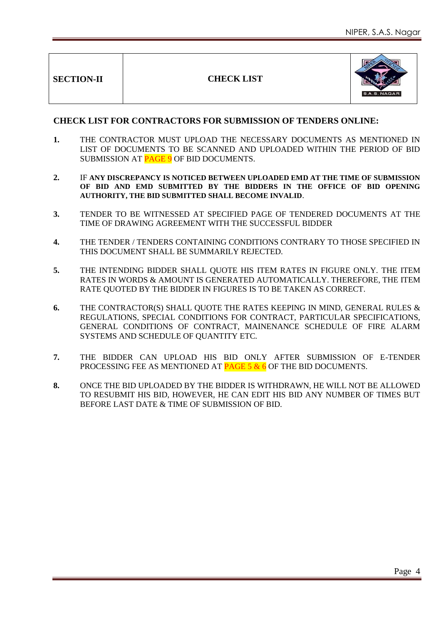**SECTION-II CHECK LIST**



#### **CHECK LIST FOR CONTRACTORS FOR SUBMISSION OF TENDERS ONLINE:**

- **1.** THE CONTRACTOR MUST UPLOAD THE NECESSARY DOCUMENTS AS MENTIONED IN LIST OF DOCUMENTS TO BE SCANNED AND UPLOADED WITHIN THE PERIOD OF BID SUBMISSION AT PAGE 9 OF BID DOCUMENTS.
- **2.** IF **ANY DISCREPANCY IS NOTICED BETWEEN UPLOADED EMD AT THE TIME OF SUBMISSION OF BID AND EMD SUBMITTED BY THE BIDDERS IN THE OFFICE OF BID OPENING AUTHORITY, THE BID SUBMITTED SHALL BECOME INVALID**.
- **3.** TENDER TO BE WITNESSED AT SPECIFIED PAGE OF TENDERED DOCUMENTS AT THE TIME OF DRAWING AGREEMENT WITH THE SUCCESSFUL BIDDER
- **4.** THE TENDER / TENDERS CONTAINING CONDITIONS CONTRARY TO THOSE SPECIFIED IN THIS DOCUMENT SHALL BE SUMMARILY REJECTED.
- **5.** THE INTENDING BIDDER SHALL QUOTE HIS ITEM RATES IN FIGURE ONLY. THE ITEM RATES IN WORDS & AMOUNT IS GENERATED AUTOMATICALLY. THEREFORE, THE ITEM RATE QUOTED BY THE BIDDER IN FIGURES IS TO BE TAKEN AS CORRECT.
- **6.** THE CONTRACTOR(S) SHALL QUOTE THE RATES KEEPING IN MIND, GENERAL RULES & REGULATIONS, SPECIAL CONDITIONS FOR CONTRACT, PARTICULAR SPECIFICATIONS, GENERAL CONDITIONS OF CONTRACT, MAINENANCE SCHEDULE OF FIRE ALARM SYSTEMS AND SCHEDULE OF QUANTITY ETC.
- **7.** THE BIDDER CAN UPLOAD HIS BID ONLY AFTER SUBMISSION OF E-TENDER PROCESSING FEE AS MENTIONED AT **PAGE 5 & 6** OF THE BID DOCUMENTS.
- **8.** ONCE THE BID UPLOADED BY THE BIDDER IS WITHDRAWN, HE WILL NOT BE ALLOWED TO RESUBMIT HIS BID, HOWEVER, HE CAN EDIT HIS BID ANY NUMBER OF TIMES BUT BEFORE LAST DATE & TIME OF SUBMISSION OF BID.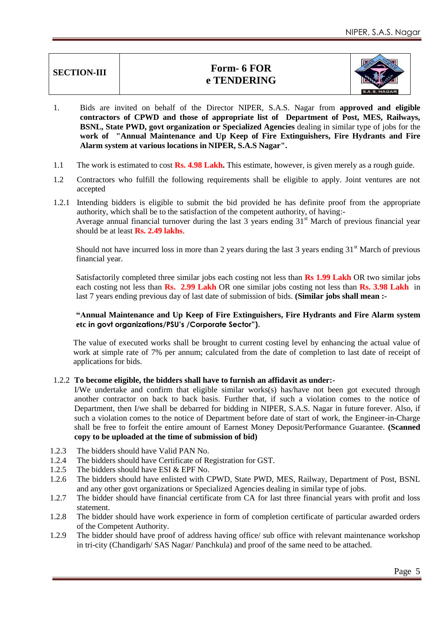## **SECTION-III Form- 6 FOR e TENDERING**



- 1. Bids are invited on behalf of the Director NIPER, S.A.S. Nagar from **approved and eligible contractors of CPWD and those of appropriate list of Department of Post, MES, Railways, BSNL, State PWD, govt organization or Specialized Agencies** dealing in similar type of jobs for the **work of "Annual Maintenance and Up Keep of Fire Extinguishers, Fire Hydrants and Fire Alarm system at various locations in NIPER, S.A.S Nagar".**
- 1.1 The work is estimated to cost **Rs. 4.98 Lakh.** This estimate, however, is given merely as a rough guide.
- 1.2 Contractors who fulfill the following requirements shall be eligible to apply. Joint ventures are not accepted
- 1.2.1 Intending bidders is eligible to submit the bid provided he has definite proof from the appropriate authority, which shall be to the satisfaction of the competent authority, of having:- Average annual financial turnover during the last  $3$  years ending  $31<sup>st</sup>$  March of previous financial year should be at least **Rs. 2.49 lakhs**.

Should not have incurred loss in more than 2 years during the last 3 years ending  $31<sup>st</sup>$  March of previous financial year.

Satisfactorily completed three similar jobs each costing not less than **Rs 1.99 Lakh** OR two similar jobs each costing not less than **Rs. 2.99 Lakh** OR one similar jobs costing not less than **Rs. 3.98 Lakh** in last 7 years ending previous day of last date of submission of bids. **(Similar jobs shall mean :-** 

#### **"Annual Maintenance and Up Keep of Fire Extinguishers, Fire Hydrants and Fire Alarm system etc in govt organizations/PSU's /Corporate Sector").**

The value of executed works shall be brought to current costing level by enhancing the actual value of work at simple rate of 7% per annum; calculated from the date of completion to last date of receipt of applications for bids.

#### 1.2.2 **To become eligible, the bidders shall have to furnish an affidavit as under:-**

I/We undertake and confirm that eligible similar works(s) has/have not been got executed through another contractor on back to back basis. Further that, if such a violation comes to the notice of Department, then I/we shall be debarred for bidding in NIPER, S.A.S. Nagar in future forever. Also, if such a violation comes to the notice of Department before date of start of work, the Engineer-in-Charge shall be free to forfeit the entire amount of Earnest Money Deposit/Performance Guarantee. **(Scanned copy to be uploaded at the time of submission of bid)** 

- 1.2.3 The bidders should have Valid PAN No.
- 1.2.4 The bidders should have Certificate of Registration for GST.
- 1.2.5 The bidders should have ESI & EPF No.
- 1.2.6 The bidders should have enlisted with CPWD, State PWD, MES, Railway, Department of Post, BSNL and any other govt organizations or Specialized Agencies dealing in similar type of jobs.
- 1.2.7 The bidder should have financial certificate from CA for last three financial years with profit and loss statement.
- 1.2.8 The bidder should have work experience in form of completion certificate of particular awarded orders of the Competent Authority.
- 1.2.9 The bidder should have proof of address having office/ sub office with relevant maintenance workshop in tri-city (Chandigarh/ SAS Nagar/ Panchkula) and proof of the same need to be attached.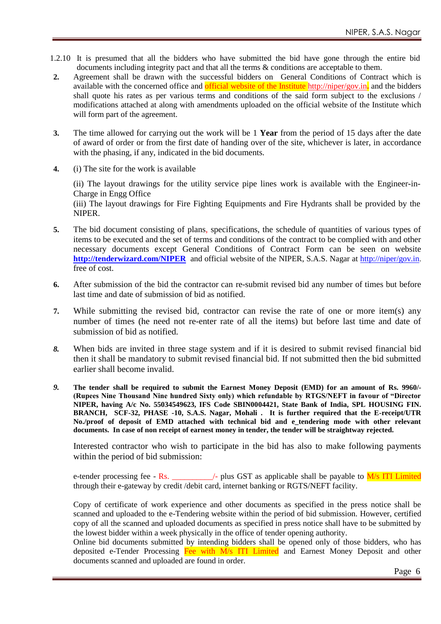- 1.2.10 It is presumed that all the bidders who have submitted the bid have gone through the entire bid documents including integrity pact and that all the terms & conditions are acceptable to them.
- **2.** Agreement shall be drawn with the successful bidders on General Conditions of Contract which is available with the concerned office and official website of the Institute<http://niper/gov.in>**.** and the bidders shall quote his rates as per various terms and conditions of the said form subject to the exclusions / modifications attached at along with amendments uploaded on the official website of the Institute which will form part of the agreement.
- **3.** The time allowed for carrying out the work will be 1 **Year** from the period of 15 days after the date of award of order or from the first date of handing over of the site, whichever is later, in accordance with the phasing, if any, indicated in the bid documents.
- **4.** (i) The site for the work is available

(ii) The layout drawings for the utility service pipe lines work is available with the Engineer-in-Charge in Engg Office

(iii) The layout drawings for Fire Fighting Equipments and Fire Hydrants shall be provided by the NIPER.

- **5.** The bid document consisting of plans, specifications, the schedule of quantities of various types of items to be executed and the set of terms and conditions of the contract to be complied with and other necessary documents except General Conditions of Contract Form can be seen on website **<http://tenderwizard.com/NIPER>** and official website of the NIPER, S.A.S. Nagar at<http://niper/gov.in>. free of cost.
- **6.** After submission of the bid the contractor can re-submit revised bid any number of times but before last time and date of submission of bid as notified.
- **7.** While submitting the revised bid, contractor can revise the rate of one or more item(s) any number of times (he need not re-enter rate of all the items) but before last time and date of submission of bid as notified.
- *8.* When bids are invited in three stage system and if it is desired to submit revised financial bid then it shall be mandatory to submit revised financial bid. If not submitted then the bid submitted earlier shall become invalid.
- *9.* **The tender shall be required to submit the Earnest Money Deposit (EMD) for an amount of Rs. 9960/- (Rupees Nine Thousand Nine hundred Sixty only) which refundable by RTGS/NEFT in favour of "Director NIPER, having A/c No. 55034549623, IFS Code SBIN0004421, State Bank of India, SPL HOUSING FIN. BRANCH, SCF-32, PHASE -10, S.A.S. Nagar, Mohali . It is further required that the E-receipt/UTR No./proof of deposit of EMD attached with technical bid and e\_tendering mode with other relevant documents. In case of non receipt of earnest money in tender, the tender will be straightway rejected.**

Interested contractor who wish to participate in the bid has also to make following payments within the period of bid submission:

e-tender processing fee - Rs.  $\angle$  - plus GST as applicable shall be payable to  $\frac{M}{s}$  ITI Limited through their e-gateway by credit /debit card, internet banking or RGTS/NEFT facility.

Copy of certificate of work experience and other documents as specified in the press notice shall be scanned and uploaded to the e-Tendering website within the period of bid submission. However, certified copy of all the scanned and uploaded documents as specified in press notice shall have to be submitted by the lowest bidder within a week physically in the office of tender opening authority.

Online bid documents submitted by intending bidders shall be opened only of those bidders, who has deposited e-Tender Processing Fee with M/s ITI Limited and Earnest Money Deposit and other documents scanned and uploaded are found in order.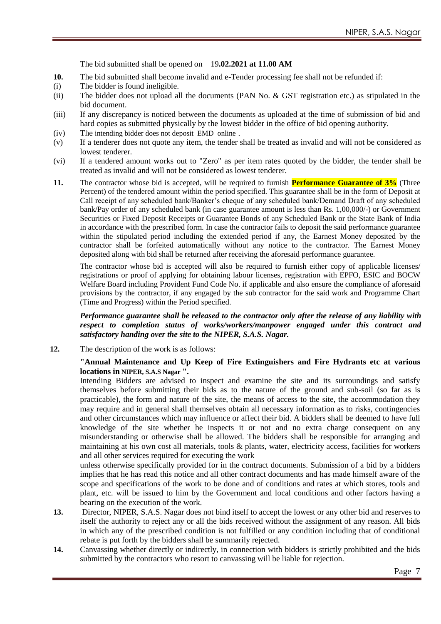The bid submitted shall be opened on 19**.02.2021 at 11.00 AM**

- **10.** The bid submitted shall become invalid and e-Tender processing fee shall not be refunded if:
- (i) The bidder is found ineligible.
- (ii) The bidder does not upload all the documents (PAN No. & GST registration etc.) as stipulated in the bid document.
- (iii) If any discrepancy is noticed between the documents as uploaded at the time of submission of bid and hard copies as submitted physically by the lowest bidder in the office of bid opening authority.
- (iv) The intending bidder does not deposit EMD online .
- (v) If a tenderer does not quote any item, the tender shall be treated as invalid and will not be considered as lowest tenderer.
- (vi) If a tendered amount works out to "Zero" as per item rates quoted by the bidder, the tender shall be treated as invalid and will not be considered as lowest tenderer.
- **11.** The contractor whose bid is accepted, will be required to furnish **Performance Guarantee of 3%** (Three Percent) of the tendered amount within the period specified. This guarantee shall be in the form of Deposit at Call receipt of any scheduled bank/Banker"s cheque of any scheduled bank/Demand Draft of any scheduled bank/Pay order of any scheduled bank (in case guarantee amount is less than Rs. 1,00,000/-) or Government Securities or Fixed Deposit Receipts or Guarantee Bonds of any Scheduled Bank or the State Bank of India in accordance with the prescribed form. In case the contractor fails to deposit the said performance guarantee within the stipulated period including the extended period if any, the Earnest Money deposited by the contractor shall be forfeited automatically without any notice to the contractor. The Earnest Money deposited along with bid shall be returned after receiving the aforesaid performance guarantee.

The contractor whose bid is accepted will also be required to furnish either copy of applicable licenses/ registrations or proof of applying for obtaining labour licenses, registration with EPFO, ESIC and BOCW Welfare Board including Provident Fund Code No. if applicable and also ensure the compliance of aforesaid provisions by the contractor, if any engaged by the sub contractor for the said work and Programme Chart (Time and Progress) within the Period specified.

#### *Performance guarantee shall be released to the contractor only after the release of any liability with respect to completion status of works/workers/manpower engaged under this contract and satisfactory handing over the site to the NIPER, S.A.S. Nagar.*

**12.** The description of the work is as follows:

#### **"Annual Maintenance and Up Keep of Fire Extinguishers and Fire Hydrants etc at various locations in NIPER, S.A.S Nagar ".**

Intending Bidders are advised to inspect and examine the site and its surroundings and satisfy themselves before submitting their bids as to the nature of the ground and sub-soil (so far as is practicable), the form and nature of the site, the means of access to the site, the accommodation they may require and in general shall themselves obtain all necessary information as to risks, contingencies and other circumstances which may influence or affect their bid. A bidders shall be deemed to have full knowledge of the site whether he inspects it or not and no extra charge consequent on any misunderstanding or otherwise shall be allowed. The bidders shall be responsible for arranging and maintaining at his own cost all materials, tools & plants, water, electricity access, facilities for workers and all other services required for executing the work

unless otherwise specifically provided for in the contract documents. Submission of a bid by a bidders implies that he has read this notice and all other contract documents and has made himself aware of the scope and specifications of the work to be done and of conditions and rates at which stores, tools and plant, etc. will be issued to him by the Government and local conditions and other factors having a bearing on the execution of the work.

- **13.** Director, NIPER, S.A.S. Nagar does not bind itself to accept the lowest or any other bid and reserves to itself the authority to reject any or all the bids received without the assignment of any reason. All bids in which any of the prescribed condition is not fulfilled or any condition including that of conditional rebate is put forth by the bidders shall be summarily rejected.
- **14.** Canvassing whether directly or indirectly, in connection with bidders is strictly prohibited and the bids submitted by the contractors who resort to canvassing will be liable for rejection.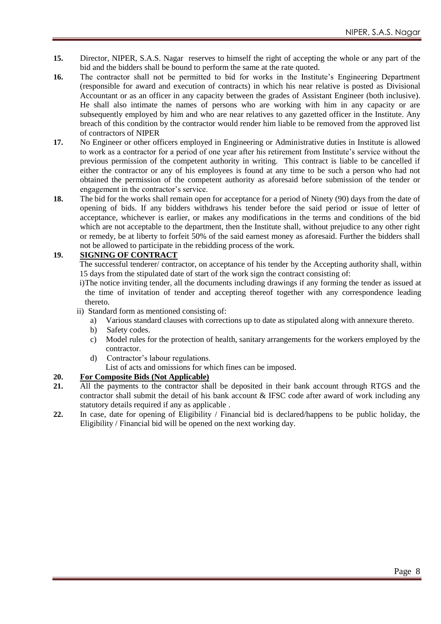- **15.** Director, NIPER, S.A.S. Nagar reserves to himself the right of accepting the whole or any part of the bid and the bidders shall be bound to perform the same at the rate quoted.
- 16. The contractor shall not be permitted to bid for works in the Institute's Engineering Department (responsible for award and execution of contracts) in which his near relative is posted as Divisional Accountant or as an officer in any capacity between the grades of Assistant Engineer (both inclusive). He shall also intimate the names of persons who are working with him in any capacity or are subsequently employed by him and who are near relatives to any gazetted officer in the Institute. Any breach of this condition by the contractor would render him liable to be removed from the approved list of contractors of NIPER
- **17.** No Engineer or other officers employed in Engineering or Administrative duties in Institute is allowed to work as a contractor for a period of one year after his retirement from Institute"s service without the previous permission of the competent authority in writing. This contract is liable to be cancelled if either the contractor or any of his employees is found at any time to be such a person who had not obtained the permission of the competent authority as aforesaid before submission of the tender or engagement in the contractor's service.
- **18.** The bid for the works shall remain open for acceptance for a period of Ninety (90) days from the date of opening of bids. If any bidders withdraws his tender before the said period or issue of letter of acceptance, whichever is earlier, or makes any modifications in the terms and conditions of the bid which are not acceptable to the department, then the Institute shall, without prejudice to any other right or remedy, be at liberty to forfeit 50% of the said earnest money as aforesaid. Further the bidders shall not be allowed to participate in the rebidding process of the work.

#### **19. SIGNING OF CONTRACT**

The successful tenderer/ contractor, on acceptance of his tender by the Accepting authority shall, within 15 days from the stipulated date of start of the work sign the contract consisting of:

i)The notice inviting tender, all the documents including drawings if any forming the tender as issued at the time of invitation of tender and accepting thereof together with any correspondence leading thereto.

ii) Standard form as mentioned consisting of:

- a) Various standard clauses with corrections up to date as stipulated along with annexure thereto.
- b) Safety codes.
- c) Model rules for the protection of health, sanitary arrangements for the workers employed by the contractor.
- d) Contractor"s labour regulations.
	- List of acts and omissions for which fines can be imposed.

#### **20. For Composite Bids (Not Applicable)**

- **21.** All the payments to the contractor shall be deposited in their bank account through RTGS and the contractor shall submit the detail of his bank account  $\&$  IFSC code after award of work including any statutory details required if any as applicable .
- **22.** In case, date for opening of Eligibility / Financial bid is declared/happens to be public holiday, the Eligibility / Financial bid will be opened on the next working day.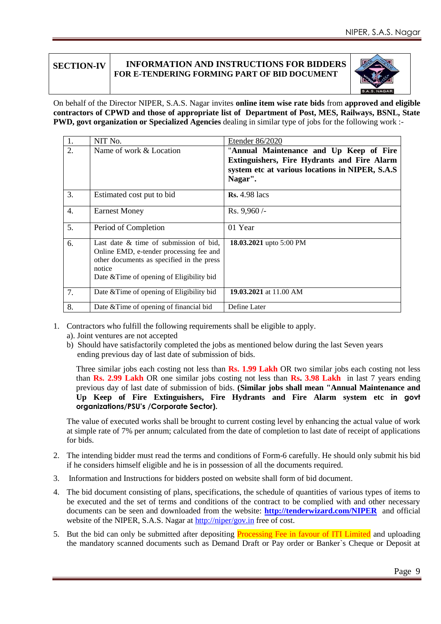#### **SECTION-IV INFORMATION AND INSTRUCTIONS FOR BIDDERS FOR E-TENDERING FORMING PART OF BID DOCUMENT**



On behalf of the Director NIPER, S.A.S. Nagar invites **online item wise rate bids** from **approved and eligible contractors of CPWD and those of appropriate list of Department of Post, MES, Railways, BSNL, State PWD, govt organization or Specialized Agencies** dealing in similar type of jobs for the following work :-

| 1. | NIT No.                                                                                                                                                                               | Etender 86/2020                                                                                                                                       |
|----|---------------------------------------------------------------------------------------------------------------------------------------------------------------------------------------|-------------------------------------------------------------------------------------------------------------------------------------------------------|
| 2. | Name of work & Location                                                                                                                                                               | "Annual Maintenance and Up Keep of Fire<br>Extinguishers, Fire Hydrants and Fire Alarm<br>system etc at various locations in NIPER, S.A.S.<br>Nagar". |
| 3. | Estimated cost put to bid                                                                                                                                                             | <b>Rs.</b> 4.98 lacs                                                                                                                                  |
| 4. | <b>Earnest Money</b>                                                                                                                                                                  | Rs. 9,960/-                                                                                                                                           |
| 5. | Period of Completion                                                                                                                                                                  | 01 Year                                                                                                                                               |
| 6. | Last date & time of submission of bid,<br>Online EMD, e-tender processing fee and<br>other documents as specified in the press<br>notice<br>Date & Time of opening of Eligibility bid | 18.03.2021 upto 5:00 PM                                                                                                                               |
| 7. | Date & Time of opening of Eligibility bid                                                                                                                                             | 19.03.2021 at 11.00 AM                                                                                                                                |
| 8. | Date $&$ Time of opening of financial bid                                                                                                                                             | Define Later                                                                                                                                          |

- 1. Contractors who fulfill the following requirements shall be eligible to apply.
	- a). Joint ventures are not accepted
	- b) Should have satisfactorily completed the jobs as mentioned below during the last Seven years ending previous day of last date of submission of bids.

Three similar jobs each costing not less than **Rs. 1.99 Lakh** OR two similar jobs each costing not less than **Rs. 2.99 Lakh** OR one similar jobs costing not less than **Rs. 3.98 Lakh** in last 7 years ending previous day of last date of submission of bids. **(Similar jobs shall mean "Annual Maintenance and Up Keep of Fire Extinguishers, Fire Hydrants and Fire Alarm system etc in govt organizations/PSU's /Corporate Sector).**

The value of executed works shall be brought to current costing level by enhancing the actual value of work at simple rate of 7% per annum; calculated from the date of completion to last date of receipt of applications for bids.

- 2. The intending bidder must read the terms and conditions of Form-6 carefully. He should only submit his bid if he considers himself eligible and he is in possession of all the documents required.
- 3. Information and Instructions for bidders posted on website shall form of bid document.
- 4. The bid document consisting of plans, specifications, the schedule of quantities of various types of items to be executed and the set of terms and conditions of the contract to be complied with and other necessary documents can be seen and downloaded from the website: **<http://tenderwizard.com/NIPER>** and official website of the NIPER, S.A.S. Nagar at<http://niper/gov.in> free of cost.
- 5. But the bid can only be submitted after depositing Processing Fee in favour of ITI Limited and uploading the mandatory scanned documents such as Demand Draft or Pay order or Banker`s Cheque or Deposit at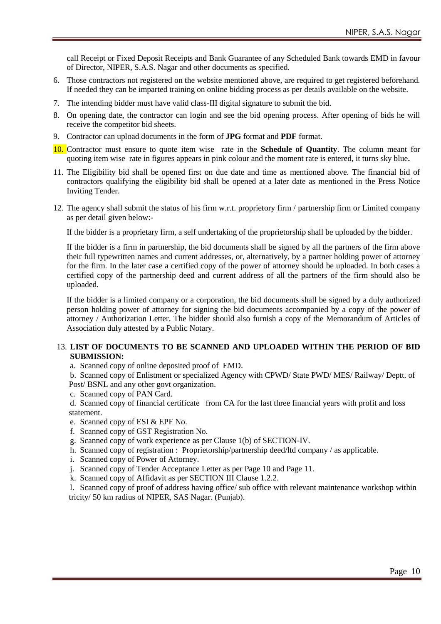call Receipt or Fixed Deposit Receipts and Bank Guarantee of any Scheduled Bank towards EMD in favour of Director, NIPER, S.A.S. Nagar and other documents as specified.

- 6. Those contractors not registered on the website mentioned above, are required to get registered beforehand. If needed they can be imparted training on online bidding process as per details available on the website.
- 7. The intending bidder must have valid class-III digital signature to submit the bid.
- 8. On opening date, the contractor can login and see the bid opening process. After opening of bids he will receive the competitor bid sheets.
- 9. Contractor can upload documents in the form of **JPG** format and **PDF** format.

10. Contractor must ensure to quote item wise rate in the **Schedule of Quantity**. The column meant for quoting item wise rate in figures appears in pink colour and the moment rate is entered, it turns sky blue**.** 

- 11. The Eligibility bid shall be opened first on due date and time as mentioned above. The financial bid of contractors qualifying the eligibility bid shall be opened at a later date as mentioned in the Press Notice Inviting Tender.
- 12. The agency shall submit the status of his firm w.r.t. proprietory firm / partnership firm or Limited company as per detail given below:-

If the bidder is a proprietary firm, a self undertaking of the proprietorship shall be uploaded by the bidder.

If the bidder is a firm in partnership, the bid documents shall be signed by all the partners of the firm above their full typewritten names and current addresses, or, alternatively, by a partner holding power of attorney for the firm. In the later case a certified copy of the power of attorney should be uploaded. In both cases a certified copy of the partnership deed and current address of all the partners of the firm should also be uploaded.

If the bidder is a limited company or a corporation, the bid documents shall be signed by a duly authorized person holding power of attorney for signing the bid documents accompanied by a copy of the power of attorney / Authorization Letter. The bidder should also furnish a copy of the Memorandum of Articles of Association duly attested by a Public Notary.

#### 13. **LIST OF DOCUMENTS TO BE SCANNED AND UPLOADED WITHIN THE PERIOD OF BID SUBMISSION:**

- a. Scanned copy of online deposited proof of EMD.
- b. Scanned copy of Enlistment or specialized Agency with CPWD/ State PWD/ MES/ Railway/ Deptt. of Post/ BSNL and any other govt organization.
- c. Scanned copy of PAN Card.

d. Scanned copy of financial certificate from CA for the last three financial years with profit and loss statement.

- e. Scanned copy of ESI & EPF No.
- f. Scanned copy of GST Registration No.
- g. Scanned copy of work experience as per Clause 1(b) of SECTION-IV.
- h. Scanned copy of registration : Proprietorship/partnership deed/ltd company / as applicable.
- i. Scanned copy of Power of Attorney.
- j. Scanned copy of Tender Acceptance Letter as per Page 10 and Page 11.
- k. Scanned copy of Affidavit as per SECTION III Clause 1.2.2.

l. Scanned copy of proof of address having office/ sub office with relevant maintenance workshop within tricity/ 50 km radius of NIPER, SAS Nagar. (Punjab).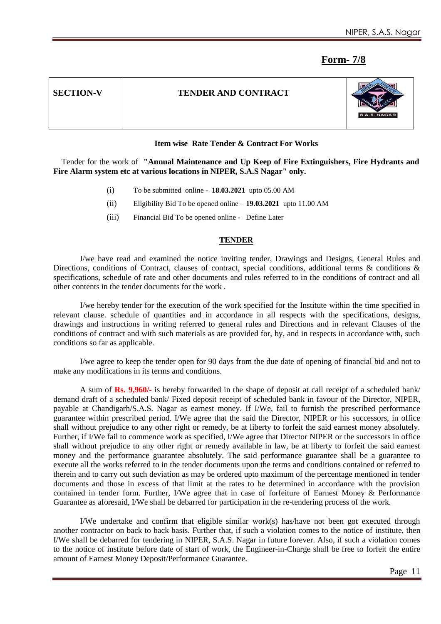### **Form- 7/8**

#### **Item wise Rate Tender & Contract For Works**

 Tender for the work of **"Annual Maintenance and Up Keep of Fire Extinguishers, Fire Hydrants and Fire Alarm system etc at various locations in NIPER, S.A.S Nagar" only.**

- (i) To be submitted online **18.03.2021** upto 05.00 AM
- (ii) Eligibility Bid To be opened online **19.03.2021** upto 11.00 AM
- (iii) Financial Bid To be opened online Define Later

#### **TENDER**

I/we have read and examined the notice inviting tender, Drawings and Designs, General Rules and Directions, conditions of Contract, clauses of contract, special conditions, additional terms & conditions & specifications, schedule of rate and other documents and rules referred to in the conditions of contract and all other contents in the tender documents for the work .

I/we hereby tender for the execution of the work specified for the Institute within the time specified in relevant clause. schedule of quantities and in accordance in all respects with the specifications, designs, drawings and instructions in writing referred to general rules and Directions and in relevant Clauses of the conditions of contract and with such materials as are provided for, by, and in respects in accordance with, such conditions so far as applicable.

I/we agree to keep the tender open for 90 days from the due date of opening of financial bid and not to make any modifications in its terms and conditions.

A sum of **Rs. 9,960/-** is hereby forwarded in the shape of deposit at call receipt of a scheduled bank/ demand draft of a scheduled bank/ Fixed deposit receipt of scheduled bank in favour of the Director, NIPER, payable at Chandigarh/S.A.S. Nagar as earnest money. If I/We, fail to furnish the prescribed performance guarantee within prescribed period. I/We agree that the said the Director, NIPER or his successors, in office shall without prejudice to any other right or remedy, be at liberty to forfeit the said earnest money absolutely. Further, if I/We fail to commence work as specified, I/We agree that Director NIPER or the successors in office shall without prejudice to any other right or remedy available in law, be at liberty to forfeit the said earnest money and the performance guarantee absolutely. The said performance guarantee shall be a guarantee to execute all the works referred to in the tender documents upon the terms and conditions contained or referred to therein and to carry out such deviation as may be ordered upto maximum of the percentage mentioned in tender documents and those in excess of that limit at the rates to be determined in accordance with the provision contained in tender form. Further, I/We agree that in case of forfeiture of Earnest Money & Performance Guarantee as aforesaid, I/We shall be debarred for participation in the re-tendering process of the work.

I/We undertake and confirm that eligible similar work(s) has/have not been got executed through another contractor on back to back basis. Further that, if such a violation comes to the notice of institute, then I/We shall be debarred for tendering in NIPER, S.A.S. Nagar in future forever. Also, if such a violation comes to the notice of institute before date of start of work, the Engineer-in-Charge shall be free to forfeit the entire amount of Earnest Money Deposit/Performance Guarantee.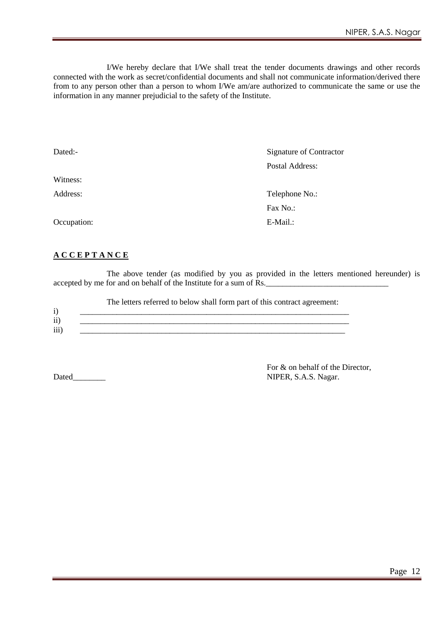I/We hereby declare that I/We shall treat the tender documents drawings and other records connected with the work as secret/confidential documents and shall not communicate information/derived there from to any person other than a person to whom I/We am/are authorized to communicate the same or use the information in any manner prejudicial to the safety of the Institute.

| Dated:-     | Signature of Contractor |
|-------------|-------------------------|
|             | Postal Address:         |
| Witness:    |                         |
| Address:    | Telephone No.:          |
|             | Fax No.:                |
| Occupation: | E-Mail.:                |
|             |                         |

#### **A C C E P T A N C E**

The above tender (as modified by you as provided in the letters mentioned hereunder) is accepted by me for and on behalf of the Institute for a sum of Rs.

The letters referred to below shall form part of this contract agreement:

| . .                         |  |  |
|-----------------------------|--|--|
| $\cdot$ $\cdot$<br>$\bf{H}$ |  |  |
| $\cdots$<br>111             |  |  |

 For & on behalf of the Director, Dated\_\_\_\_\_\_\_\_\_\_\_\_ NIPER, S.A.S. Nagar.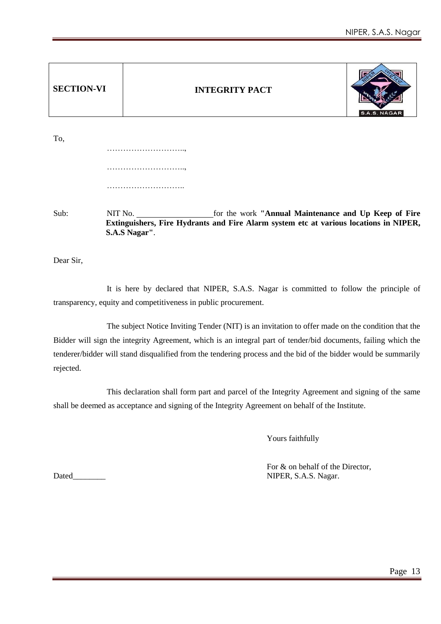| <b>SECTION-VI</b> |                          | <b>INTEGRITY PACT</b>                                                                                                                         | S.A.S. NAGAR |
|-------------------|--------------------------|-----------------------------------------------------------------------------------------------------------------------------------------------|--------------|
| To,               |                          |                                                                                                                                               |              |
|                   |                          |                                                                                                                                               |              |
|                   |                          |                                                                                                                                               |              |
| Sub:              | NIT No.<br>S.A.S Nagar". | for the work "Annual Maintenance and Up Keep of Fire<br>Extinguishers, Fire Hydrants and Fire Alarm system etc at various locations in NIPER, |              |

Dear Sir,

It is here by declared that NIPER, S.A.S. Nagar is committed to follow the principle of transparency, equity and competitiveness in public procurement.

The subject Notice Inviting Tender (NIT) is an invitation to offer made on the condition that the Bidder will sign the integrity Agreement, which is an integral part of tender/bid documents, failing which the tenderer/bidder will stand disqualified from the tendering process and the bid of the bidder would be summarily rejected.

This declaration shall form part and parcel of the Integrity Agreement and signing of the same shall be deemed as acceptance and signing of the Integrity Agreement on behalf of the Institute.

Yours faithfully

 For & on behalf of the Director, Dated\_\_\_\_\_\_\_\_ NIPER, S.A.S. Nagar.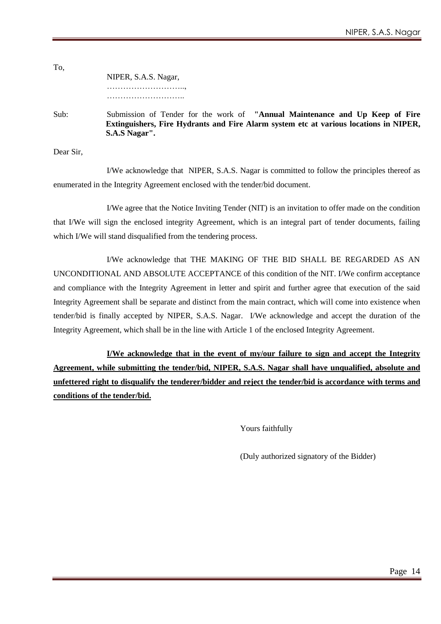NIPER, S.A.S. Nagar, ……………………….., ………………………………………

Sub: Submission of Tender for the work of **"Annual Maintenance and Up Keep of Fire Extinguishers, Fire Hydrants and Fire Alarm system etc at various locations in NIPER, S.A.S Nagar".**

Dear Sir,

To,

I/We acknowledge that NIPER, S.A.S. Nagar is committed to follow the principles thereof as enumerated in the Integrity Agreement enclosed with the tender/bid document.

I/We agree that the Notice Inviting Tender (NIT) is an invitation to offer made on the condition that I/We will sign the enclosed integrity Agreement, which is an integral part of tender documents, failing which I/We will stand disqualified from the tendering process.

I/We acknowledge that THE MAKING OF THE BID SHALL BE REGARDED AS AN UNCONDITIONAL AND ABSOLUTE ACCEPTANCE of this condition of the NIT. I/We confirm acceptance and compliance with the Integrity Agreement in letter and spirit and further agree that execution of the said Integrity Agreement shall be separate and distinct from the main contract, which will come into existence when tender/bid is finally accepted by NIPER, S.A.S. Nagar. I/We acknowledge and accept the duration of the Integrity Agreement, which shall be in the line with Article 1 of the enclosed Integrity Agreement.

**I/We acknowledge that in the event of my/our failure to sign and accept the Integrity Agreement, while submitting the tender/bid, NIPER, S.A.S. Nagar shall have unqualified, absolute and unfettered right to disqualify the tenderer/bidder and reject the tender/bid is accordance with terms and conditions of the tender/bid.**

Yours faithfully

(Duly authorized signatory of the Bidder)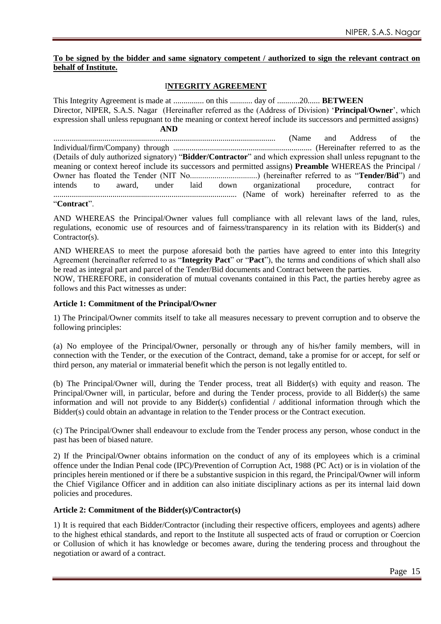#### **To be signed by the bidder and same signatory competent / authorized to sign the relevant contract on behalf of Institute.**

#### I**NTEGRITY AGREEMENT**

This Integrity Agreement is made at ............... on this ........... day of ...........20...... **BETWEEN** Director, NIPER, S.A.S. Nagar (Hereinafter referred as the (Address of Division) "**Principal**/**Owner**", which expression shall unless repugnant to the meaning or context hereof include its successors and permitted assigns) **AND** ............................................................................................................. (Name and Address of the Individual/firm/Company) through .................................................................... (Hereinafter referred to as the (Details of duly authorized signatory) "**Bidder/Contractor**" and which expression shall unless repugnant to the meaning or context hereof include its successors and permitted assigns) **Preamble** WHEREAS the Principal / Owner has floated the Tender (NIT No.................................) (hereinafter referred to as "**Tender/Bid**") and intends to award, under laid down organizational procedure, contract for .......................................................................................... (Name of work) hereinafter referred to as the "**Contract**".

AND WHEREAS the Principal/Owner values full compliance with all relevant laws of the land, rules, regulations, economic use of resources and of fairness/transparency in its relation with its Bidder(s) and Contractor(s).

AND WHEREAS to meet the purpose aforesaid both the parties have agreed to enter into this Integrity Agreement (hereinafter referred to as "**Integrity Pact**" or "**Pact**"), the terms and conditions of which shall also be read as integral part and parcel of the Tender/Bid documents and Contract between the parties.

NOW, THEREFORE, in consideration of mutual covenants contained in this Pact, the parties hereby agree as follows and this Pact witnesses as under:

#### **Article 1: Commitment of the Principal/Owner**

1) The Principal/Owner commits itself to take all measures necessary to prevent corruption and to observe the following principles:

(a) No employee of the Principal/Owner, personally or through any of his/her family members, will in connection with the Tender, or the execution of the Contract, demand, take a promise for or accept, for self or third person, any material or immaterial benefit which the person is not legally entitled to.

(b) The Principal/Owner will, during the Tender process, treat all Bidder(s) with equity and reason. The Principal/Owner will, in particular, before and during the Tender process, provide to all Bidder(s) the same information and will not provide to any Bidder(s) confidential / additional information through which the Bidder(s) could obtain an advantage in relation to the Tender process or the Contract execution.

(c) The Principal/Owner shall endeavour to exclude from the Tender process any person, whose conduct in the past has been of biased nature.

2) If the Principal/Owner obtains information on the conduct of any of its employees which is a criminal offence under the Indian Penal code (IPC)/Prevention of Corruption Act, 1988 (PC Act) or is in violation of the principles herein mentioned or if there be a substantive suspicion in this regard, the Principal/Owner will inform the Chief Vigilance Officer and in addition can also initiate disciplinary actions as per its internal laid down policies and procedures.

#### **Article 2: Commitment of the Bidder(s)/Contractor(s)**

1) It is required that each Bidder/Contractor (including their respective officers, employees and agents) adhere to the highest ethical standards, and report to the Institute all suspected acts of fraud or corruption or Coercion or Collusion of which it has knowledge or becomes aware, during the tendering process and throughout the negotiation or award of a contract.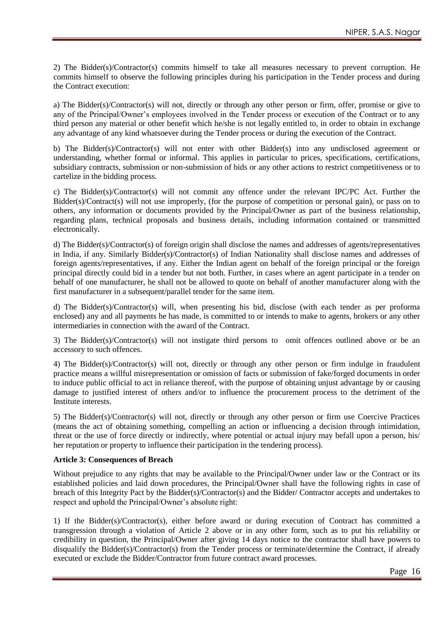2) The Bidder(s)/Contractor(s) commits himself to take all measures necessary to prevent corruption. He commits himself to observe the following principles during his participation in the Tender process and during the Contract execution:

a) The Bidder(s)/Contractor(s) will not, directly or through any other person or firm, offer, promise or give to any of the Principal/Owner's employees involved in the Tender process or execution of the Contract or to any third person any material or other benefit which he/she is not legally entitled to, in order to obtain in exchange any advantage of any kind whatsoever during the Tender process or during the execution of the Contract.

b) The Bidder(s)/Contractor(s) will not enter with other Bidder(s) into any undisclosed agreement or understanding, whether formal or informal. This applies in particular to prices, specifications, certifications, subsidiary contracts, submission or non-submission of bids or any other actions to restrict competitiveness or to cartelize in the bidding process.

c) The Bidder(s)/Contractor(s) will not commit any offence under the relevant IPC/PC Act. Further the Bidder(s)/Contract(s) will not use improperly, (for the purpose of competition or personal gain), or pass on to others, any information or documents provided by the Principal/Owner as part of the business relationship, regarding plans, technical proposals and business details, including information contained or transmitted electronically.

d) The Bidder(s)/Contractor(s) of foreign origin shall disclose the names and addresses of agents/representatives in India, if any. Similarly Bidder(s)/Contractor(s) of Indian Nationality shall disclose names and addresses of foreign agents/representatives, if any. Either the Indian agent on behalf of the foreign principal or the foreign principal directly could bid in a tender but not both. Further, in cases where an agent participate in a tender on behalf of one manufacturer, he shall not be allowed to quote on behalf of another manufacturer along with the first manufacturer in a subsequent/parallel tender for the same item.

d) The Bidder(s)/Contractor(s) will, when presenting his bid, disclose (with each tender as per proforma enclosed) any and all payments he has made, is committed to or intends to make to agents, brokers or any other intermediaries in connection with the award of the Contract.

3) The Bidder(s)/Contractor(s) will not instigate third persons to omit offences outlined above or be an accessory to such offences.

4) The Bidder(s)/Contractor(s) will not, directly or through any other person or firm indulge in fraudulent practice means a willful misrepresentation or omission of facts or submission of fake/forged documents in order to induce public official to act in reliance thereof, with the purpose of obtaining unjust advantage by or causing damage to justified interest of others and/or to influence the procurement process to the detriment of the Institute interests.

5) The Bidder(s)/Contractor(s) will not, directly or through any other person or firm use Coercive Practices (means the act of obtaining something, compelling an action or influencing a decision through intimidation, threat or the use of force directly or indirectly, where potential or actual injury may befall upon a person, his/ her reputation or property to influence their participation in the tendering process).

#### **Article 3: Consequences of Breach**

Without prejudice to any rights that may be available to the Principal/Owner under law or the Contract or its established policies and laid down procedures, the Principal/Owner shall have the following rights in case of breach of this Integrity Pact by the Bidder(s)/Contractor(s) and the Bidder/ Contractor accepts and undertakes to respect and uphold the Principal/Owner's absolute right:

1) If the Bidder(s)/Contractor(s), either before award or during execution of Contract has committed a transgression through a violation of Article 2 above or in any other form, such as to put his reliability or credibility in question, the Principal/Owner after giving 14 days notice to the contractor shall have powers to disqualify the Bidder(s)/Contractor(s) from the Tender process or terminate/determine the Contract, if already executed or exclude the Bidder/Contractor from future contract award processes.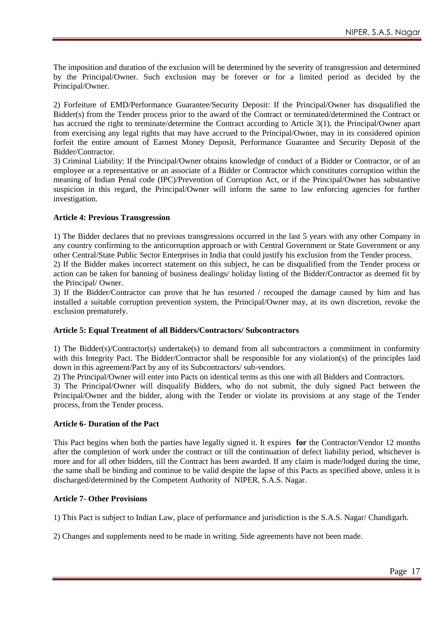The imposition and duration of the exclusion will be determined by the severity of transgression and determined by the Principal/Owner. Such exclusion may be forever or for a limited period as decided by the Principal/Owner.

2) Forfeiture of EMD/Performance Guarantee/Security Deposit: If the Principal/Owner has disqualified the Bidder(s) from the Tender process prior to the award of the Contract or terminated/determined the Contract or has accrued the right to terminate/determine the Contract according to Article 3(1), the Principal/Owner apart from exercising any legal rights that may have accrued to the Principal/Owner, may in its considered opinion forfeit the entire amount of Earnest Money Deposit, Performance Guarantee and Security Deposit of the Bidder/Contractor.

3) Criminal Liability: If the Principal/Owner obtains knowledge of conduct of a Bidder or Contractor, or of an employee or a representative or an associate of a Bidder or Contractor which constitutes corruption within the meaning of Indian Penal code (IPC)/Prevention of Corruption Act, or if the Principal/Owner has substantive suspicion in this regard, the Principal/Owner will inform the same to law enforcing agencies for further investigation.

#### **Article 4: Previous Transgression**

1) The Bidder declares that no previous transgressions occurred in the last 5 years with any other Company in any country confirming to the anticorruption approach or with Central Government or State Government or any other Central/State Public Sector Enterprises in India that could justify his exclusion from the Tender process.

2) If the Bidder makes incorrect statement on this subject, he can be disqualified from the Tender process or action can be taken for banning of business dealings/ holiday listing of the Bidder/Contractor as deemed fit by the Principal/ Owner.

3) If the Bidder/Contractor can prove that he has resorted / recouped the damage caused by him and has installed a suitable corruption prevention system, the Principal/Owner may, at its own discretion, revoke the exclusion prematurely.

#### **Article 5: Equal Treatment of all Bidders/Contractors/ Subcontractors**

1) The Bidder(s)/Contractor(s) undertake(s) to demand from all subcontractors a commitment in conformity with this Integrity Pact. The Bidder/Contractor shall be responsible for any violation(s) of the principles laid down in this agreement/Pact by any of its Subcontractors/ sub-vendors.

2) The Principal/Owner will enter into Pacts on identical terms as this one with all Bidders and Contractors.

3) The Principal/Owner will disqualify Bidders, who do not submit, the duly signed Pact between the Principal/Owner and the bidder, along with the Tender or violate its provisions at any stage of the Tender process, from the Tender process.

#### **Article 6- Duration of the Pact**

This Pact begins when both the parties have legally signed it. It expires **for** the Contractor/Vendor 12 months after the completion of work under the contract or till the continuation of defect liability period, whichever is more and for all other bidders, till the Contract has been awarded. If any claim is made/lodged during the time, the same shall be binding and continue to be valid despite the lapse of this Pacts as specified above, unless it is discharged/determined by the Competent Authority of NIPER, S.A.S. Nagar.

#### **Article 7- Other Provisions**

1) This Pact is subject to Indian Law, place of performance and jurisdiction is the S.A.S. Nagar/ Chandigarh.

2) Changes and supplements need to be made in writing. Side agreements have not been made.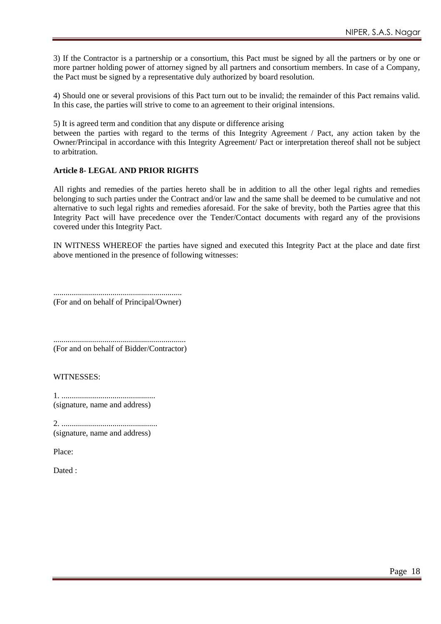3) If the Contractor is a partnership or a consortium, this Pact must be signed by all the partners or by one or more partner holding power of attorney signed by all partners and consortium members. In case of a Company, the Pact must be signed by a representative duly authorized by board resolution.

4) Should one or several provisions of this Pact turn out to be invalid; the remainder of this Pact remains valid. In this case, the parties will strive to come to an agreement to their original intensions.

5) It is agreed term and condition that any dispute or difference arising

between the parties with regard to the terms of this Integrity Agreement / Pact, any action taken by the Owner/Principal in accordance with this Integrity Agreement/ Pact or interpretation thereof shall not be subject to arbitration.

#### **Article 8- LEGAL AND PRIOR RIGHTS**

All rights and remedies of the parties hereto shall be in addition to all the other legal rights and remedies belonging to such parties under the Contract and/or law and the same shall be deemed to be cumulative and not alternative to such legal rights and remedies aforesaid. For the sake of brevity, both the Parties agree that this Integrity Pact will have precedence over the Tender/Contact documents with regard any of the provisions covered under this Integrity Pact.

IN WITNESS WHEREOF the parties have signed and executed this Integrity Pact at the place and date first above mentioned in the presence of following witnesses:

............................................................... (For and on behalf of Principal/Owner)

................................................................. (For and on behalf of Bidder/Contractor)

WITNESSES:

1. .............................................. (signature, name and address)

2. ............................................... (signature, name and address)

Place:

Dated :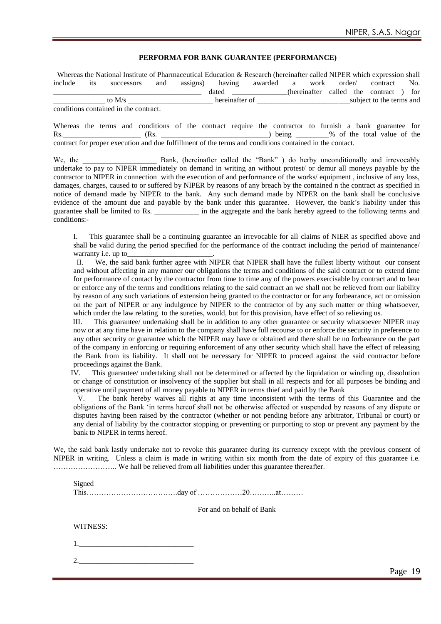#### **PERFORMA FOR BANK GUARANTEE (PERFORMANCE)**

Whereas the National Institute of Pharmaceutical Education & Research (hereinafter called NIPER which expression shall include its successors and assigns) having awarded a work order/ contract No. \_\_\_\_\_\_\_\_\_\_\_\_\_\_\_\_\_\_\_\_\_\_\_\_\_\_\_\_\_\_\_\_\_\_\_\_\_\_\_\_ dated \_\_\_\_\_\_\_\_\_\_\_\_\_\_\_(hereinafter called the contract ) for \_\_\_\_\_\_\_\_\_\_\_\_\_\_ to M/s \_\_\_\_\_\_\_\_\_\_\_\_\_\_\_\_\_\_\_\_\_\_\_ hereinafter of \_\_\_\_\_\_\_\_\_\_\_\_\_\_\_\_\_\_\_\_\_\_\_\_\_subject to the terms and conditions contained in the contract.

Whereas the terms and conditions of the contract require the contractor to furnish a bank guarantee for Rs.<br>
Rs. (Rs. 2008) (Rs. 2008) (Rs. 2008) (Rs. 2008) (Rs. 2008) (Rs. 2008) (Rs. 2008) (Rs. 2008) (Rs. 2008) (Rs. 2008) Rs.\_\_\_\_\_\_\_\_\_\_\_\_\_\_\_\_\_\_\_\_\_ (Rs. \_\_\_\_\_\_\_\_\_\_\_\_\_\_\_\_\_\_\_\_\_\_\_\_\_\_\_\_\_) being \_\_\_\_\_\_\_\_\_% of the total value of the contract for proper execution and due fulfillment of the terms and conditions contained in the contact.

We, the **EXECUTE:** Bank, (hereinafter called the "Bank" ) do herby unconditionally and irrevocably undertake to pay to NIPER immediately on demand in writing an without protest/ or demur all moneys payable by the contractor to NIPER in connection with the execution of and performance of the works/ equipment , inclusive of any loss, damages, charges, caused to or suffered by NIPER by reasons of any breach by the contained n the contract as specified in notice of demand made by NIPER to the bank. Any such demand made by NIPER on the bank shall be conclusive evidence of the amount due and payable by the bank under this guarantee. However, the bank's liability under this guarantee shall be limited to Rs. \_\_\_\_\_\_\_\_\_\_\_\_ in the aggregate and the bank hereby agreed to the following terms and conditions:-

I. This guarantee shall be a continuing guarantee an irrevocable for all claims of NIER as specified above and shall be valid during the period specified for the performance of the contract including the period of maintenance/ warranty *i.e.* up to

 II. We, the said bank further agree with NIPER that NIPER shall have the fullest liberty without our consent and without affecting in any manner our obligations the terms and conditions of the said contract or to extend time for performance of contact by the contractor from time to time any of the powers exercisable by contract and to bear or enforce any of the terms and conditions relating to the said contract an we shall not be relieved from our liability by reason of any such variations of extension being granted to the contractor or for any forbearance, act or omission on the part of NIPER or any indulgence by NIPER to the contractor of by any such matter or thing whatsoever, which under the law relating to the sureties, would, but for this provision, have effect of so relieving us.

 III. This guarantee/ undertaking shall be in addition to any other guarantee or security whatsoever NIPER may now or at any time have in relation to the company shall have full recourse to or enforce the security in preference to any other security or guarantee which the NIPER may have or obtained and there shall be no forbearance on the part of the company in enforcing or requiring enforcement of any other security which shall have the effect of releasing the Bank from its liability. It shall not be necessary for NIPER to proceed against the said contractor before proceedings against the Bank.

IV. This guarantee/ undertaking shall not be determined or affected by the liquidation or winding up, dissolution or change of constitution or insolvency of the supplier but shall in all respects and for all purposes be binding and operative until payment of all money payable to NIPER in terms thief and paid by the Bank

 V. The bank hereby waives all rights at any time inconsistent with the terms of this Guarantee and the obligations of the Bank "in terms hereof shall not be otherwise affected or suspended by reasons of any dispute or disputes having been raised by the contractor (whether or not pending before any arbitrator, Tribunal or court) or any denial of liability by the contractor stopping or preventing or purporting to stop or prevent any payment by the bank to NIPER in terms hereof.

We, the said bank lastly undertake not to revoke this guarantee during its currency except with the previous consent of NIPER in writing. Unless a claim is made in writing within six month from the date of expiry of this guarantee i.e. …………………….. We hall be relieved from all liabilities under this guarantee thereafter.

This……………………………….day of ………………20………..at………

For and on behalf of Bank

#### WITNESS:

1.\_\_\_\_\_\_\_\_\_\_\_\_\_\_\_\_\_\_\_\_\_\_\_\_\_\_\_\_\_\_\_

2.\_\_\_\_\_\_\_\_\_\_\_\_\_\_\_\_\_\_\_\_\_\_\_\_\_\_\_\_\_\_\_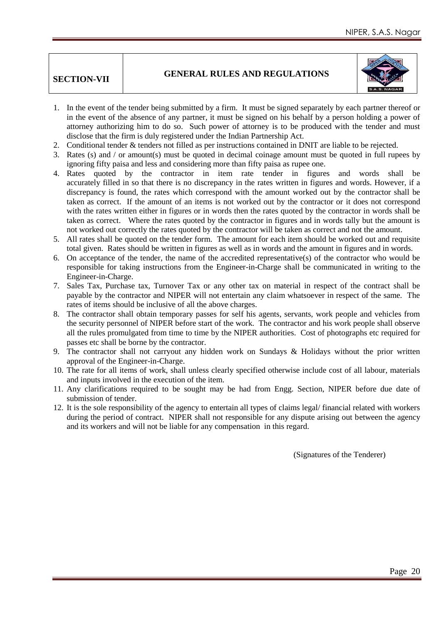## **SECTION-VII GENERAL RULES AND REGULATIONS**



- 1. In the event of the tender being submitted by a firm. It must be signed separately by each partner thereof or in the event of the absence of any partner, it must be signed on his behalf by a person holding a power of attorney authorizing him to do so. Such power of attorney is to be produced with the tender and must disclose that the firm is duly registered under the Indian Partnership Act.
- 2. Conditional tender & tenders not filled as per instructions contained in DNIT are liable to be rejected.
- 3. Rates (s) and / or amount(s) must be quoted in decimal coinage amount must be quoted in full rupees by ignoring fifty paisa and less and considering more than fifty paisa as rupee one.
- 4. Rates quoted by the contractor in item rate tender in figures and words shall be accurately filled in so that there is no discrepancy in the rates written in figures and words. However, if a discrepancy is found, the rates which correspond with the amount worked out by the contractor shall be taken as correct. If the amount of an items is not worked out by the contractor or it does not correspond with the rates written either in figures or in words then the rates quoted by the contractor in words shall be taken as correct. Where the rates quoted by the contractor in figures and in words tally but the amount is not worked out correctly the rates quoted by the contractor will be taken as correct and not the amount.
- 5. All rates shall be quoted on the tender form. The amount for each item should be worked out and requisite total given. Rates should be written in figures as well as in words and the amount in figures and in words.
- 6. On acceptance of the tender, the name of the accredited representative(s) of the contractor who would be responsible for taking instructions from the Engineer-in-Charge shall be communicated in writing to the Engineer-in-Charge.
- 7. Sales Tax, Purchase tax, Turnover Tax or any other tax on material in respect of the contract shall be payable by the contractor and NIPER will not entertain any claim whatsoever in respect of the same. The rates of items should be inclusive of all the above charges.
- 8. The contractor shall obtain temporary passes for self his agents, servants, work people and vehicles from the security personnel of NIPER before start of the work. The contractor and his work people shall observe all the rules promulgated from time to time by the NIPER authorities. Cost of photographs etc required for passes etc shall be borne by the contractor.
- 9. The contractor shall not carryout any hidden work on Sundays & Holidays without the prior written approval of the Engineer-in-Charge.
- 10. The rate for all items of work, shall unless clearly specified otherwise include cost of all labour, materials and inputs involved in the execution of the item.
- 11. Any clarifications required to be sought may be had from Engg. Section, NIPER before due date of submission of tender.
- 12. It is the sole responsibility of the agency to entertain all types of claims legal/ financial related with workers during the period of contract. NIPER shall not responsible for any dispute arising out between the agency and its workers and will not be liable for any compensation in this regard.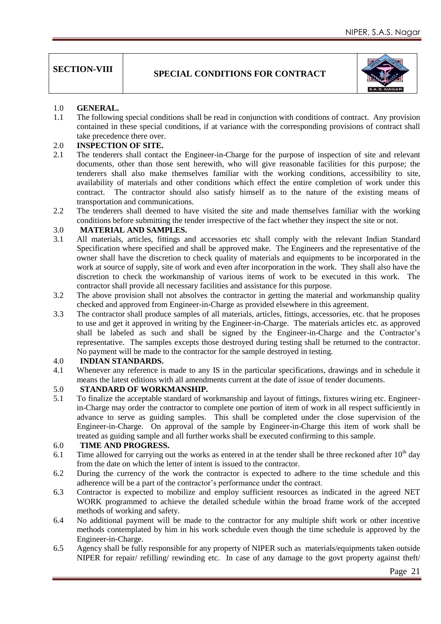## **SECTION-VIII** SPECIAL CONDITIONS FOR CONTRACT



## 1.0 **GENERAL.**<br>1.1 The following

The following special conditions shall be read in conjunction with conditions of contract. Any provision contained in these special conditions, if at variance with the corresponding provisions of contract shall take precedence there over.

#### 2.0 **INSPECTION OF SITE.**

- 2.1 The tenderers shall contact the Engineer-in-Charge for the purpose of inspection of site and relevant documents, other than those sent herewith, who will give reasonable facilities for this purpose; the tenderers shall also make themselves familiar with the working conditions, accessibility to site, availability of materials and other conditions which effect the entire completion of work under this contract. The contractor should also satisfy himself as to the nature of the existing means of transportation and communications.
- 2.2 The tenderers shall deemed to have visited the site and made themselves familiar with the working conditions before submitting the tender irrespective of the fact whether they inspect the site or not.

## 3.0 **MATERIAL AND SAMPLES.**

- 3.1 All materials, articles, fittings and accessories etc shall comply with the relevant Indian Standard Specification where specified and shall be approved make. The Engineers and the representative of the owner shall have the discretion to check quality of materials and equipments to be incorporated in the work at source of supply, site of work and even after incorporation in the work. They shall also have the discretion to check the workmanship of various items of work to be executed in this work. The contractor shall provide all necessary facilities and assistance for this purpose.
- 3.2 The above provision shall not absolves the contractor in getting the material and workmanship quality checked and approved from Engineer-in-Charge as provided elsewhere in this agreement.
- 3.3 The contractor shall produce samples of all materials, articles, fittings, accessories, etc. that he proposes to use and get it approved in writing by the Engineer-in-Charge. The materials articles etc. as approved shall be labeled as such and shall be signed by the Engineer-in-Charge and the Contractor"s representative. The samples excepts those destroyed during testing shall be returned to the contractor. No payment will be made to the contractor for the sample destroyed in testing.

#### 4.0 **INDIAN STANDARDS.**

4.1 Whenever any reference is made to any IS in the particular specifications, drawings and in schedule it means the latest editions with all amendments current at the date of issue of tender documents.

#### 5.0 **STANDARD OF WORKMANSHIP.**

5.1 To finalize the acceptable standard of workmanship and layout of fittings, fixtures wiring etc. Engineerin-Charge may order the contractor to complete one portion of item of work in all respect sufficiently in advance to serve as guiding samples. This shall be completed under the close supervision of the Engineer-in-Charge. On approval of the sample by Engineer-in-Charge this item of work shall be treated as guiding sample and all further works shall be executed confirming to this sample.

#### 6.0 **TIME AND PROGRESS.**

- 6.1 Time allowed for carrying out the works as entered in at the tender shall be three reckoned after  $10<sup>th</sup>$  day from the date on which the letter of intent is issued to the contractor.
- 6.2 During the currency of the work the contractor is expected to adhere to the time schedule and this adherence will be a part of the contractor"s performance under the contract.
- 6.3 Contractor is expected to mobilize and employ sufficient resources as indicated in the agreed NET WORK programmed to achieve the detailed schedule within the broad frame work of the accepted methods of working and safety.
- 6.4 No additional payment will be made to the contractor for any multiple shift work or other incentive methods contemplated by him in his work schedule even though the time schedule is approved by the Engineer-in-Charge.
- 6.5 Agency shall be fully responsible for any property of NIPER such as materials/equipments taken outside NIPER for repair/ refilling/ rewinding etc. In case of any damage to the govt property against theft/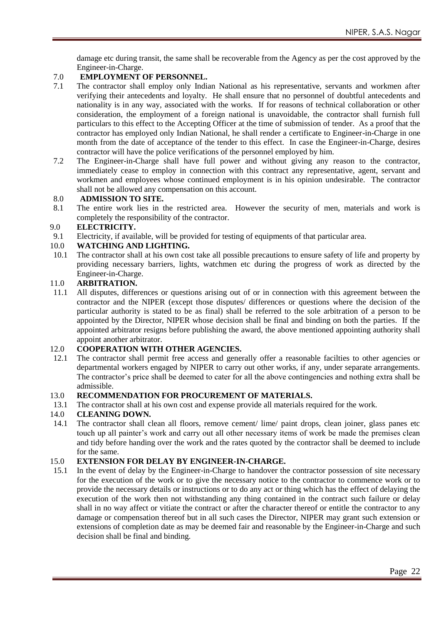damage etc during transit, the same shall be recoverable from the Agency as per the cost approved by the Engineer-in-Charge.

## 7.0 **EMPLOYMENT OF PERSONNEL.**<br>7.1 The contractor shall employ only India

- The contractor shall employ only Indian National as his representative, servants and workmen after verifying their antecedents and loyalty. He shall ensure that no personnel of doubtful antecedents and nationality is in any way, associated with the works. If for reasons of technical collaboration or other consideration, the employment of a foreign national is unavoidable, the contractor shall furnish full particulars to this effect to the Accepting Officer at the time of submission of tender. As a proof that the contractor has employed only Indian National, he shall render a certificate to Engineer-in-Charge in one month from the date of acceptance of the tender to this effect. In case the Engineer-in-Charge, desires contractor will have the police verifications of the personnel employed by him.
- 7.2 The Engineer-in-Charge shall have full power and without giving any reason to the contractor, immediately cease to employ in connection with this contract any representative, agent, servant and workmen and employees whose continued employment is in his opinion undesirable. The contractor shall not be allowed any compensation on this account.

#### 8.0 **ADMISSION TO SITE.**

8.1 The entire work lies in the restricted area. However the security of men, materials and work is completely the responsibility of the contractor.

#### 9.0 **ELECTRICITY.**

9.1 Electricity, if available, will be provided for testing of equipments of that particular area.

#### 10.0 **WATCHING AND LIGHTING.**

10.1 The contractor shall at his own cost take all possible precautions to ensure safety of life and property by providing necessary barriers, lights, watchmen etc during the progress of work as directed by the Engineer-in-Charge.

#### 11.0 **ARBITRATION.**

11.1 All disputes, differences or questions arising out of or in connection with this agreement between the contractor and the NIPER (except those disputes/ differences or questions where the decision of the particular authority is stated to be as final) shall be referred to the sole arbitration of a person to be appointed by the Director, NIPER whose decision shall be final and binding on both the parties. If the appointed arbitrator resigns before publishing the award, the above mentioned appointing authority shall appoint another arbitrator.

#### 12.0 **COOPERATION WITH OTHER AGENCIES.**

12.1 The contractor shall permit free access and generally offer a reasonable facilties to other agencies or departmental workers engaged by NIPER to carry out other works, if any, under separate arrangements. The contractor's price shall be deemed to cater for all the above contingencies and nothing extra shall be admissible.

#### 13.0 **RECOMMENDATION FOR PROCUREMENT OF MATERIALS.**

13.1 The contractor shall at his own cost and expense provide all materials required for the work.

#### 14.0 **CLEANING DOWN.**

14.1 The contractor shall clean all floors, remove cement/ lime/ paint drops, clean joiner, glass panes etc touch up all painter's work and carry out all other necessary items of work be made the premises clean and tidy before handing over the work and the rates quoted by the contractor shall be deemed to include for the same.

#### 15.0 **EXTENSION FOR DELAY BY ENGINEER-IN-CHARGE.**

15.1 In the event of delay by the Engineer-in-Charge to handover the contractor possession of site necessary for the execution of the work or to give the necessary notice to the contractor to commence work or to provide the necessary details or instructions or to do any act or thing which has the effect of delaying the execution of the work then not withstanding any thing contained in the contract such failure or delay shall in no way affect or vitiate the contract or after the character thereof or entitle the contractor to any damage or compensation thereof but in all such cases the Director, NIPER may grant such extension or extensions of completion date as may be deemed fair and reasonable by the Engineer-in-Charge and such decision shall be final and binding.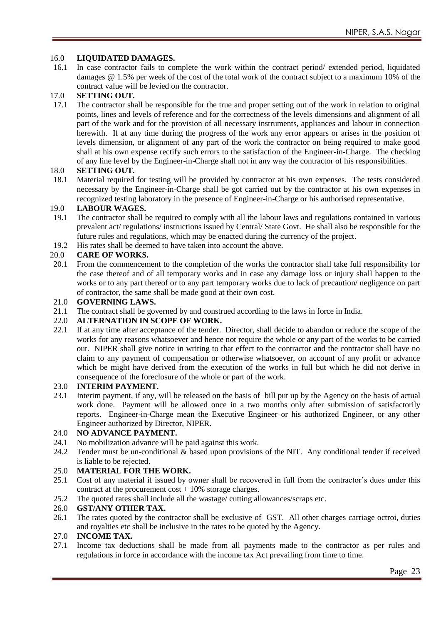#### 16.0 **LIQUIDATED DAMAGES.**

16.1 In case contractor fails to complete the work within the contract period/ extended period, liquidated damages @ 1.5% per week of the cost of the total work of the contract subject to a maximum 10% of the contract value will be levied on the contractor.

## 17.0 **SETTING OUT.**<br>17.1 The contractor sha

The contractor shall be responsible for the true and proper setting out of the work in relation to original points, lines and levels of reference and for the correctness of the levels dimensions and alignment of all part of the work and for the provision of all necessary instruments, appliances and labour in connection herewith. If at any time during the progress of the work any error appears or arises in the position of levels dimension, or alignment of any part of the work the contractor on being required to make good shall at his own expense rectify such errors to the satisfaction of the Engineer-in-Charge. The checking of any line level by the Engineer-in-Charge shall not in any way the contractor of his responsibilities.

#### 18.0 **SETTING OUT.**

18.1 Material required for testing will be provided by contractor at his own expenses. The tests considered necessary by the Engineer-in-Charge shall be got carried out by the contractor at his own expenses in recognized testing laboratory in the presence of Engineer-in-Charge or his authorised representative.

## 19.0 **LABOUR WAGES.**

- The contractor shall be required to comply with all the labour laws and regulations contained in various prevalent act/ regulations/ instructions issued by Central/ State Govt. He shall also be responsible for the future rules and regulations, which may be enacted during the currency of the project.
- 19.2 His rates shall be deemed to have taken into account the above.

#### 20.0 **CARE OF WORKS.**

20.1 From the commencement to the completion of the works the contractor shall take full responsibility for the case thereof and of all temporary works and in case any damage loss or injury shall happen to the works or to any part thereof or to any part temporary works due to lack of precaution/ negligence on part of contractor, the same shall be made good at their own cost.

#### 21.0 **GOVERNING LAWS.**

21.1 The contract shall be governed by and construed according to the laws in force in India.

#### 22.0 **ALTERNATION IN SCOPE OF WORK.**

22.1 If at any time after acceptance of the tender. Director, shall decide to abandon or reduce the scope of the works for any reasons whatsoever and hence not require the whole or any part of the works to be carried out. NIPER shall give notice in writing to that effect to the contractor and the contractor shall have no claim to any payment of compensation or otherwise whatsoever, on account of any profit or advance which be might have derived from the execution of the works in full but which he did not derive in consequence of the foreclosure of the whole or part of the work.

#### 23.0 **INTERIM PAYMENT.**

23.1 Interim payment, if any, will be released on the basis of bill put up by the Agency on the basis of actual work done. Payment will be allowed once in a two months only after submission of satisfactorily reports. Engineer-in-Charge mean the Executive Engineer or his authorized Engineer, or any other Engineer authorized by Director, NIPER.

#### 24.0 **NO ADVANCE PAYMENT.**

- 24.1 No mobilization advance will be paid against this work.
- 24.2 Tender must be un-conditional & based upon provisions of the NIT. Any conditional tender if received is liable to be rejected.

#### 25.0 **MATERIAL FOR THE WORK.**

- 25.1 Cost of any material if issued by owner shall be recovered in full from the contractor"s dues under this contract at the procurement cost + 10% storage charges.
- 25.2 The quoted rates shall include all the wastage/ cutting allowances/scraps etc.

#### 26.0 **GST/ANY OTHER TAX.**

26.1 The rates quoted by the contractor shall be exclusive of GST. All other charges carriage octroi, duties and royalties etc shall be inclusive in the rates to be quoted by the Agency.

#### 27.0 **INCOME TAX.**

27.1 Income tax deductions shall be made from all payments made to the contractor as per rules and regulations in force in accordance with the income tax Act prevailing from time to time.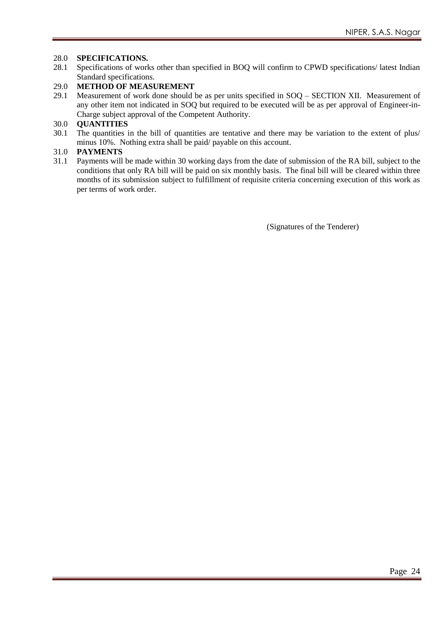#### 28.0 **SPECIFICATIONS.**

28.1 Specifications of works other than specified in BOQ will confirm to CPWD specifications/ latest Indian Standard specifications.

#### 29.0 **METHOD OF MEASUREMENT**

29.1 Measurement of work done should be as per units specified in SOQ – SECTION XII. Measurement of any other item not indicated in SOQ but required to be executed will be as per approval of Engineer-in-Charge subject approval of the Competent Authority.

#### 30.0 **QUANTITIES**

30.1 The quantities in the bill of quantities are tentative and there may be variation to the extent of plus/ minus 10%. Nothing extra shall be paid/ payable on this account.

# 31.0 **PAYMENTS**

Payments will be made within 30 working days from the date of submission of the RA bill, subject to the conditions that only RA bill will be paid on six monthly basis. The final bill will be cleared within three months of its submission subject to fulfillment of requisite criteria concerning execution of this work as per terms of work order.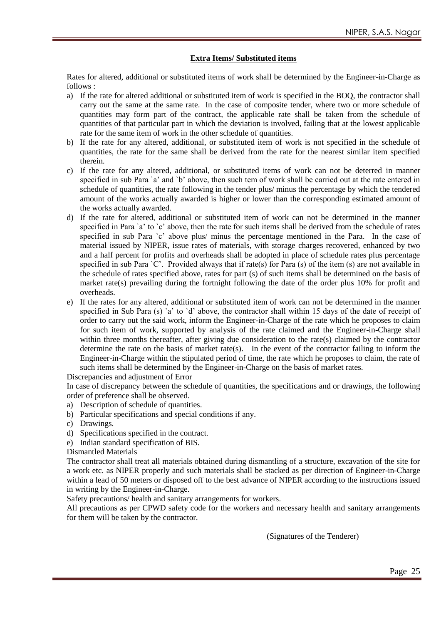#### **Extra Items/ Substituted items**

Rates for altered, additional or substituted items of work shall be determined by the Engineer-in-Charge as  $follows.$ 

- a) If the rate for altered additional or substituted item of work is specified in the BOQ, the contractor shall carry out the same at the same rate. In the case of composite tender, where two or more schedule of quantities may form part of the contract, the applicable rate shall be taken from the schedule of quantities of that particular part in which the deviation is involved, failing that at the lowest applicable rate for the same item of work in the other schedule of quantities.
- b) If the rate for any altered, additional, or substituted item of work is not specified in the schedule of quantities, the rate for the same shall be derived from the rate for the nearest similar item specified therein.
- c) If the rate for any altered, additional, or substituted items of work can not be deterred in manner specified in sub Para `a' and `b' above, then such tem of work shall be carried out at the rate entered in schedule of quantities, the rate following in the tender plus/ minus the percentage by which the tendered amount of the works actually awarded is higher or lower than the corresponding estimated amount of the works actually awarded.
- d) If the rate for altered, additional or substituted item of work can not be determined in the manner specified in Para `a' to `c' above, then the rate for such items shall be derived from the schedule of rates specified in sub Para `c' above plus/ minus the percentage mentioned in the Para. In the case of material issued by NIPER, issue rates of materials, with storage charges recovered, enhanced by two and a half percent for profits and overheads shall be adopted in place of schedule rates plus percentage specified in sub Para 'C'. Provided always that if rate(s) for Para (s) of the item (s) are not available in the schedule of rates specified above, rates for part (s) of such items shall be determined on the basis of market rate(s) prevailing during the fortnight following the date of the order plus 10% for profit and overheads.
- e) If the rates for any altered, additional or substituted item of work can not be determined in the manner specified in Sub Para (s) `a' to `d' above, the contractor shall within 15 days of the date of receipt of order to carry out the said work, inform the Engineer-in-Charge of the rate which he proposes to claim for such item of work, supported by analysis of the rate claimed and the Engineer-in-Charge shall within three months thereafter, after giving due consideration to the rate(s) claimed by the contractor determine the rate on the basis of market rate(s). In the event of the contractor failing to inform the Engineer-in-Charge within the stipulated period of time, the rate which he proposes to claim, the rate of such items shall be determined by the Engineer-in-Charge on the basis of market rates.

Discrepancies and adjustment of Error

In case of discrepancy between the schedule of quantities, the specifications and or drawings, the following order of preference shall be observed.

- a) Description of schedule of quantities.
- b) Particular specifications and special conditions if any.
- c) Drawings.
- d) Specifications specified in the contract.
- e) Indian standard specification of BIS.
- Dismantled Materials

The contractor shall treat all materials obtained during dismantling of a structure, excavation of the site for a work etc. as NIPER properly and such materials shall be stacked as per direction of Engineer-in-Charge within a lead of 50 meters or disposed off to the best advance of NIPER according to the instructions issued in writing by the Engineer-in-Charge.

Safety precautions/ health and sanitary arrangements for workers.

All precautions as per CPWD safety code for the workers and necessary health and sanitary arrangements for them will be taken by the contractor.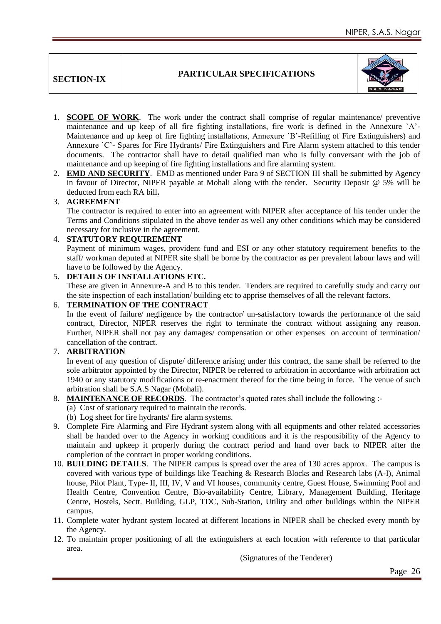**SECTION-IX**

#### **PARTICULAR SPECIFICATIONS**



- 1. **SCOPE OF WORK**. The work under the contract shall comprise of regular maintenance/ preventive maintenance and up keep of all fire fighting installations, fire work is defined in the Annexure `A"- Maintenance and up keep of fire fighting installations, Annexure `B"-Refilling of Fire Extinguishers) and Annexure `C"- Spares for Fire Hydrants/ Fire Extinguishers and Fire Alarm system attached to this tender documents. The contractor shall have to detail qualified man who is fully conversant with the job of maintenance and up keeping of fire fighting installations and fire alarming system.
- 2. **EMD AND SECURITY**. EMD as mentioned under Para 9 of SECTION III shall be submitted by Agency in favour of Director, NIPER payable at Mohali along with the tender. Security Deposit @ 5% will be deducted from each RA bill**.**

#### 3. **AGREEMENT**

The contractor is required to enter into an agreement with NIPER after acceptance of his tender under the Terms and Conditions stipulated in the above tender as well any other conditions which may be considered necessary for inclusive in the agreement.

#### 4. **STATUTORY REQUIREMENT**

Payment of minimum wages, provident fund and ESI or any other statutory requirement benefits to the staff/ workman deputed at NIPER site shall be borne by the contractor as per prevalent labour laws and will have to be followed by the Agency.

#### 5. **DETAILS OF INSTALLATIONS ETC.**

These are given in Annexure-A and B to this tender. Tenders are required to carefully study and carry out the site inspection of each installation/ building etc to apprise themselves of all the relevant factors.

#### 6. **TERMINATION OF THE CONTRACT**

In the event of failure/ negligence by the contractor/ un-satisfactory towards the performance of the said contract, Director, NIPER reserves the right to terminate the contract without assigning any reason. Further, NIPER shall not pay any damages/ compensation or other expenses on account of termination/ cancellation of the contract.

#### 7. **ARBITRATION**

In event of any question of dispute/ difference arising under this contract, the same shall be referred to the sole arbitrator appointed by the Director, NIPER be referred to arbitration in accordance with arbitration act 1940 or any statutory modifications or re-enactment thereof for the time being in force. The venue of such arbitration shall be S.A.S Nagar (Mohali).

### 8. **MAINTENANCE OF RECORDS**. The contractor's quoted rates shall include the following :-(a) Cost of stationary required to maintain the records.

(b) Log sheet for fire hydrants/ fire alarm systems.

- 9. Complete Fire Alarming and Fire Hydrant system along with all equipments and other related accessories shall be handed over to the Agency in working conditions and it is the responsibility of the Agency to maintain and upkeep it properly during the contract period and hand over back to NIPER after the completion of the contract in proper working conditions.
- 10. **BUILDING DETAILS**. The NIPER campus is spread over the area of 130 acres approx. The campus is covered with various type of buildings like Teaching & Research Blocks and Research labs (A-I), Animal house, Pilot Plant, Type- II, III, IV, V and VI houses, community centre, Guest House, Swimming Pool and Health Centre, Convention Centre, Bio-availability Centre, Library, Management Building, Heritage Centre, Hostels, Sectt. Building, GLP, TDC, Sub-Station, Utility and other buildings within the NIPER campus.
- 11. Complete water hydrant system located at different locations in NIPER shall be checked every month by the Agency.
- 12. To maintain proper positioning of all the extinguishers at each location with reference to that particular area.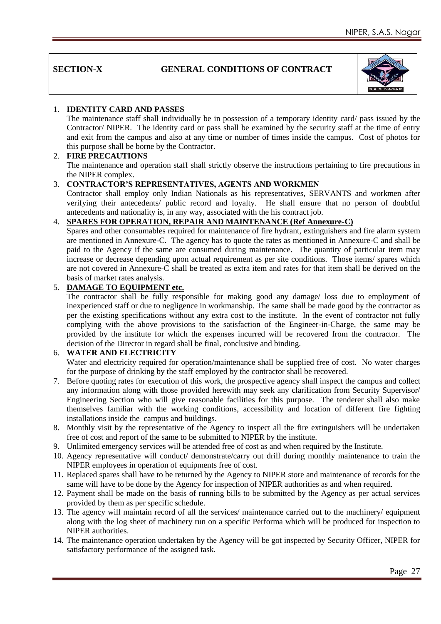| <b>SECTION-X</b> |
|------------------|
|------------------|

#### **GENERAL CONDITIONS OF CONTRACT**



#### 1. **IDENTITY CARD AND PASSES**

The maintenance staff shall individually be in possession of a temporary identity card/ pass issued by the Contractor/ NIPER. The identity card or pass shall be examined by the security staff at the time of entry and exit from the campus and also at any time or number of times inside the campus. Cost of photos for this purpose shall be borne by the Contractor.

#### 2. **FIRE PRECAUTIONS**

The maintenance and operation staff shall strictly observe the instructions pertaining to fire precautions in the NIPER complex.

#### 3. **CONTRACTOR'S REPRESENTATIVES, AGENTS AND WORKMEN**

Contractor shall employ only Indian Nationals as his representatives, SERVANTS and workmen after verifying their antecedents/ public record and loyalty. He shall ensure that no person of doubtful antecedents and nationality is, in any way, associated with the his contract job.

#### 4. **SPARES FOR OPERATION, REPAIR AND MAINTENANCE (Ref Annexure-C)**

Spares and other consumables required for maintenance of fire hydrant, extinguishers and fire alarm system are mentioned in Annexure-C. The agency has to quote the rates as mentioned in Annexure-C and shall be paid to the Agency if the same are consumed during maintenance. The quantity of particular item may increase or decrease depending upon actual requirement as per site conditions. Those items/ spares which are not covered in Annexure-C shall be treated as extra item and rates for that item shall be derived on the basis of market rates analysis.

#### 5. **DAMAGE TO EQUIPMENT etc.**

The contractor shall be fully responsible for making good any damage/ loss due to employment of inexperienced staff or due to negligence in workmanship. The same shall be made good by the contractor as per the existing specifications without any extra cost to the institute. In the event of contractor not fully complying with the above provisions to the satisfaction of the Engineer-in-Charge, the same may be provided by the institute for which the expenses incurred will be recovered from the contractor. The decision of the Director in regard shall be final, conclusive and binding.

#### 6. **WATER AND ELECTRICITY**

Water and electricity required for operation/maintenance shall be supplied free of cost. No water charges for the purpose of drinking by the staff employed by the contractor shall be recovered.

- 7. Before quoting rates for execution of this work, the prospective agency shall inspect the campus and collect any information along with those provided herewith may seek any clarification from Security Supervisor/ Engineering Section who will give reasonable facilities for this purpose. The tenderer shall also make themselves familiar with the working conditions, accessibility and location of different fire fighting installations inside the campus and buildings.
- 8. Monthly visit by the representative of the Agency to inspect all the fire extinguishers will be undertaken free of cost and report of the same to be submitted to NIPER by the institute.
- 9. Unlimited emergency services will be attended free of cost as and when required by the Institute.
- 10. Agency representative will conduct/ demonstrate/carry out drill during monthly maintenance to train the NIPER employees in operation of equipments free of cost.
- 11. Replaced spares shall have to be returned by the Agency to NIPER store and maintenance of records for the same will have to be done by the Agency for inspection of NIPER authorities as and when required.
- 12. Payment shall be made on the basis of running bills to be submitted by the Agency as per actual services provided by them as per specific schedule.
- 13. The agency will maintain record of all the services/ maintenance carried out to the machinery/ equipment along with the log sheet of machinery run on a specific Performa which will be produced for inspection to NIPER authorities.
- 14. The maintenance operation undertaken by the Agency will be got inspected by Security Officer, NIPER for satisfactory performance of the assigned task.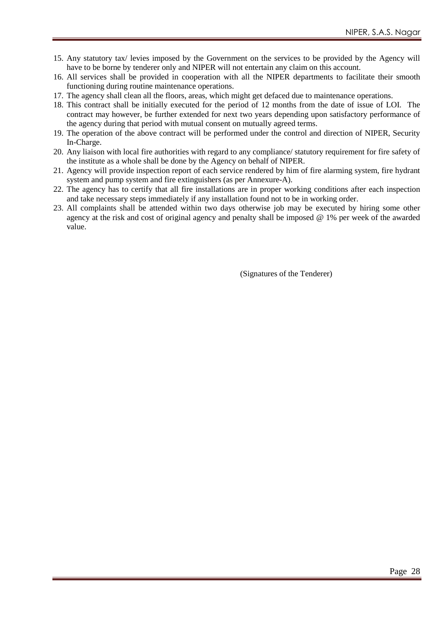- 15. Any statutory tax/ levies imposed by the Government on the services to be provided by the Agency will have to be borne by tenderer only and NIPER will not entertain any claim on this account.
- 16. All services shall be provided in cooperation with all the NIPER departments to facilitate their smooth functioning during routine maintenance operations.
- 17. The agency shall clean all the floors, areas, which might get defaced due to maintenance operations.
- 18. This contract shall be initially executed for the period of 12 months from the date of issue of LOI. The contract may however, be further extended for next two years depending upon satisfactory performance of the agency during that period with mutual consent on mutually agreed terms.
- 19. The operation of the above contract will be performed under the control and direction of NIPER, Security In-Charge.
- 20. Any liaison with local fire authorities with regard to any compliance/ statutory requirement for fire safety of the institute as a whole shall be done by the Agency on behalf of NIPER.
- 21. Agency will provide inspection report of each service rendered by him of fire alarming system, fire hydrant system and pump system and fire extinguishers (as per Annexure-A).
- 22. The agency has to certify that all fire installations are in proper working conditions after each inspection and take necessary steps immediately if any installation found not to be in working order.
- 23. All complaints shall be attended within two days otherwise job may be executed by hiring some other agency at the risk and cost of original agency and penalty shall be imposed @ 1% per week of the awarded value.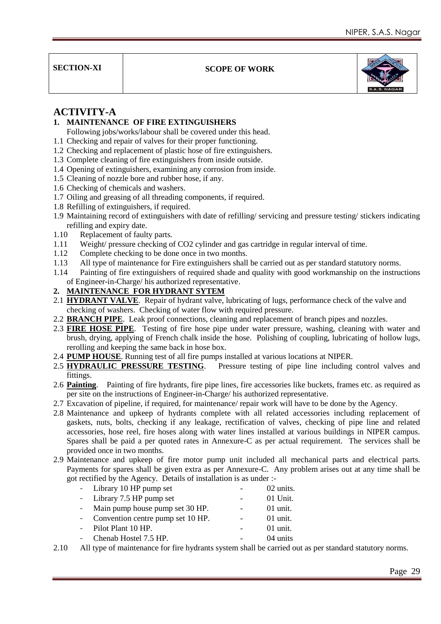**SECTION-XI SCOPE OF WORK** 



### **ACTIVITY-A**

**1. MAINTENANCE OF FIRE EXTINGUISHERS**

Following jobs/works/labour shall be covered under this head.

- 1.1 Checking and repair of valves for their proper functioning.
- 1.2 Checking and replacement of plastic hose of fire extinguishers.
- 1.3 Complete cleaning of fire extinguishers from inside outside.
- 1.4 Opening of extinguishers, examining any corrosion from inside.
- 1.5 Cleaning of nozzle bore and rubber hose, if any.
- 1.6 Checking of chemicals and washers.
- 1.7 Oiling and greasing of all threading components, if required.
- 1.8 Refilling of extinguishers, if required.
- 1.9 Maintaining record of extinguishers with date of refilling/ servicing and pressure testing/ stickers indicating refilling and expiry date.
- 1.10 Replacement of faulty parts.
- 1.11 Weight/ pressure checking of CO2 cylinder and gas cartridge in regular interval of time.
- 1.12 Complete checking to be done once in two months.
- 1.13 All type of maintenance for Fire extinguishers shall be carried out as per standard statutory norms.
- 1.14 Painting of fire extinguishers of required shade and quality with good workmanship on the instructions of Engineer-in-Charge/ his authorized representative.
- **2. MAINTENANCE FOR HYDRANT SYTEM**
- 2.1 **HYDRANT VALVE**. Repair of hydrant valve, lubricating of lugs, performance check of the valve and checking of washers. Checking of water flow with required pressure.
- 2.2 **BRANCH PIPE**. Leak proof connections, cleaning and replacement of branch pipes and nozzles.
- 2.3 **FIRE HOSE PIPE**. Testing of fire hose pipe under water pressure, washing, cleaning with water and brush, drying, applying of French chalk inside the hose. Polishing of coupling, lubricating of hollow lugs, rerolling and keeping the same back in hose box.
- 2.4 **PUMP HOUSE**. Running test of all fire pumps installed at various locations at NIPER.
- 2.5 **HYDRAULIC PRESSURE TESTING**. Pressure testing of pipe line including control valves and fittings.
- 2.6 **Painting**. Painting of fire hydrants, fire pipe lines, fire accessories like buckets, frames etc. as required as per site on the instructions of Engineer-in-Charge/ his authorized representative.
- 2.7 Excavation of pipeline, if required, for maintenance/ repair work will have to be done by the Agency.
- 2.8 Maintenance and upkeep of hydrants complete with all related accessories including replacement of gaskets, nuts, bolts, checking if any leakage, rectification of valves, checking of pipe line and related accessories, hose reel, fire hoses along with water lines installed at various buildings in NIPER campus. Spares shall be paid a per quoted rates in Annexure-C as per actual requirement. The services shall be provided once in two months.
- 2.9 Maintenance and upkeep of fire motor pump unit included all mechanical parts and electrical parts. Payments for spares shall be given extra as per Annexure-C. Any problem arises out at any time shall be got rectified by the Agency. Details of installation is as under :-

| - Library 10 HP pump set                                                 | 02 units.  |
|--------------------------------------------------------------------------|------------|
| - Library 7.5 HP pump set                                                | 01 Unit.   |
| - Main pump house pump set 30 HP.                                        | $01$ unit. |
| - Convention centre pump set 10 HP.                                      | $01$ unit. |
| - Pilot Plant 10 HP.                                                     | $01$ unit. |
| - Chenab Hostel 7.5 HP.                                                  | 04 units   |
| All trues of mointanons of fan fine bruinants aratom skall ha somisel of |            |

2.10 All type of maintenance for fire hydrants system shall be carried out as per standard statutory norms.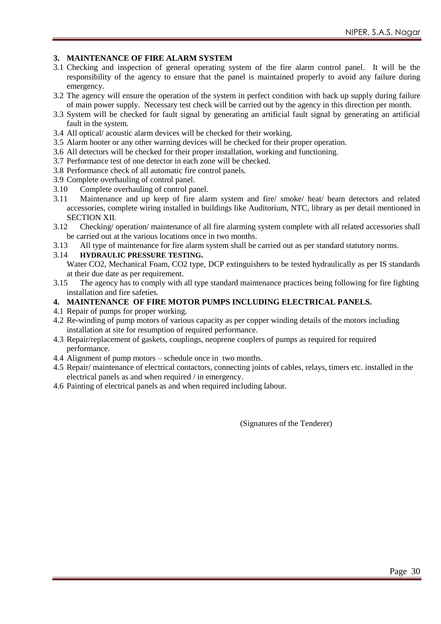#### **3. MAINTENANCE OF FIRE ALARM SYSTEM**

- 3.1 Checking and inspection of general operating system of the fire alarm control panel. It will be the responsibility of the agency to ensure that the panel is maintained properly to avoid any failure during emergency.
- 3.2 The agency will ensure the operation of the system in perfect condition with back up supply during failure of main power supply. Necessary test check will be carried out by the agency in this direction per month.
- 3.3 System will be checked for fault signal by generating an artificial fault signal by generating an artificial fault in the system.
- 3.4 All optical/ acoustic alarm devices will be checked for their working.
- 3.5 Alarm hooter or any other warning devices will be checked for their proper operation.
- 3.6 All detectors will be checked for their proper installation, working and functioning.
- 3.7 Performance test of one detector in each zone will be checked.
- 3.8 Performance check of all automatic fire control panels.
- 3.9 Complete overhauling of control panel.
- 3.10 Complete overhauling of control panel.<br>3.11 Maintenance and up keep of fire alar
- Maintenance and up keep of fire alarm system and fire/ smoke/ heat/ beam detectors and related accessories, complete wiring installed in buildings like Auditorium, NTC, library as per detail mentioned in SECTION XII.
- 3.12 Checking/ operation/ maintenance of all fire alarming system complete with all related accessories shall be carried out at the various locations once in two months.
- 3.13 All type of maintenance for fire alarm system shall be carried out as per standard statutory norms.
- 3.14 **HYDRAULIC PRESSURE TESTING.**

Water CO2, Mechanical Foam, CO2 type, DCP extinguishers to be tested hydraulically as per IS standards at their due date as per requirement.

- 3.15 The agency has to comply with all type standard maintenance practices being following for fire fighting installation and fire safeties.
- **4. MAINTENANCE OF FIRE MOTOR PUMPS INCLUDING ELECTRICAL PANELS.**
- 4.1 Repair of pumps for proper working.
- 4.2 Re-winding of pump motors of various capacity as per copper winding details of the motors including installation at site for resumption of required performance.
- 4.3 Repair/replacement of gaskets, couplings, neoprene couplers of pumps as required for required performance.
- 4.4 Alignment of pump motors schedule once in two months.
- 4.5 Repair/ maintenance of electrical contactors, connecting joints of cables, relays, timers etc. installed in the electrical panels as and when required / in emergency.
- 4.6 Painting of electrical panels as and when required including labour.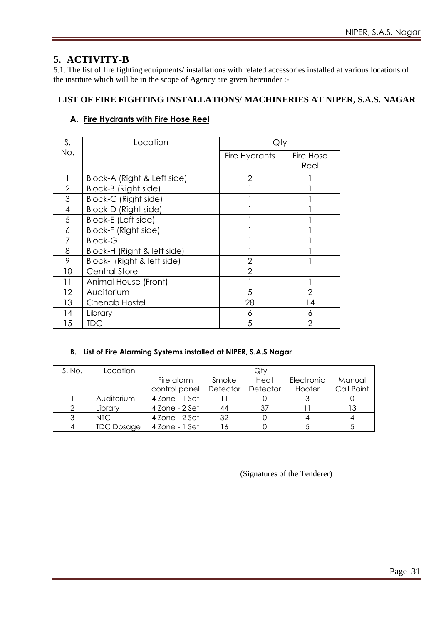### **5. ACTIVITY-B**

5.1. The list of fire fighting equipments/ installations with related accessories installed at various locations of the institute which will be in the scope of Agency are given hereunder :-

### **LIST OF FIRE FIGHTING INSTALLATIONS/ MACHINERIES AT NIPER, S.A.S. NAGAR**

#### **A. Fire Hydrants with Fire Hose Reel**

| S.  | Location                    | Qty            |                |
|-----|-----------------------------|----------------|----------------|
| No. |                             | Fire Hydrants  | Fire Hose      |
|     |                             |                | Reel           |
|     | Block-A (Right & Left side) | 2              |                |
| 2   | Block-B (Right side)        |                |                |
| 3   | Block-C (Right side)        |                |                |
| 4   | Block-D (Right side)        |                |                |
| 5   | Block-E (Left side)         |                |                |
| 6   | Block-F (Right side)        |                |                |
|     | <b>Block-G</b>              |                |                |
| 8   | Block-H (Right & left side) |                |                |
| 9   | Block-I (Right & left side) | $\overline{2}$ |                |
| 10  | <b>Central Store</b>        | 2              |                |
| 11  | Animal House (Front)        |                |                |
| 12  | Auditorium                  | 5              | $\overline{2}$ |
| 13  | <b>Chenab Hostel</b>        | 28             | 14             |
| 14  | Library                     | 6              | 6              |
| 15  | TDC                         | 5              | っ              |

#### **B. List of Fire Alarming Systems installed at NIPER, S.A.S Nagar**

| S. No. | Location          |                |          | Qty      |            |            |
|--------|-------------------|----------------|----------|----------|------------|------------|
|        |                   | Fire alarm     | Smoke    | Heat     | Electronic | Manual     |
|        |                   | control panel  | Detector | Detector | Hooter     | Call Point |
|        | Auditorium        | 4 Zone - 1 Set |          |          |            |            |
|        | Library           | 4 Zone - 2 Set | 44       | 37       |            | 13         |
|        | NTC .             | 4 Zone - 2 Set | 32       |          |            |            |
|        | <b>TDC Dosage</b> | 4 Zone - 1 Set |          |          |            |            |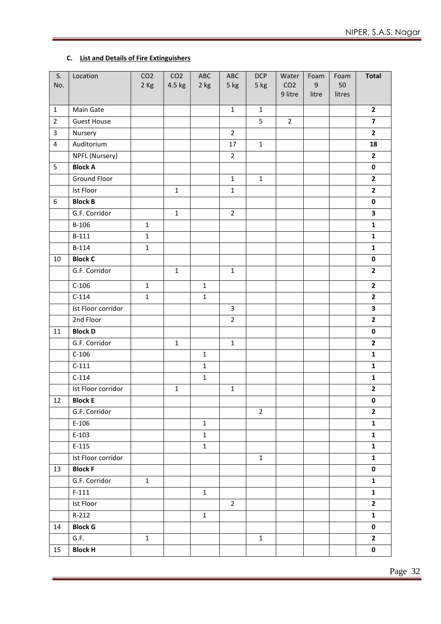#### **C. List and Details of Fire Extinguishers**

| S.             | Location           | CO <sub>2</sub> | CO <sub>2</sub> | ABC          | ABC            | <b>DCP</b>     | Water                      | Foam                      | Foam         | <b>Total</b>            |
|----------------|--------------------|-----------------|-----------------|--------------|----------------|----------------|----------------------------|---------------------------|--------------|-------------------------|
| No.            |                    | 2 Kg            | 4.5 kg          | 2 kg         | 5 kg           | 5 kg           | CO <sub>2</sub><br>9 litre | $\boldsymbol{9}$<br>litre | 50<br>litres |                         |
|                |                    |                 |                 |              |                |                |                            |                           |              |                         |
| $\mathbf{1}$   | Main Gate          |                 |                 |              | $\mathbf{1}$   | $\mathbf{1}$   |                            |                           |              | $\overline{2}$          |
| $\overline{2}$ | <b>Guest House</b> |                 |                 |              |                | 5              | $\overline{2}$             |                           |              | $\overline{\mathbf{z}}$ |
| $\mathsf{3}$   | Nursery            |                 |                 |              | $\overline{2}$ |                |                            |                           |              | $\overline{2}$          |
| $\overline{4}$ | Auditorium         |                 |                 |              | 17             | $\mathbf{1}$   |                            |                           |              | 18                      |
|                | NPFL (Nursery)     |                 |                 |              | $\overline{2}$ |                |                            |                           |              | $\overline{2}$          |
| 5              | <b>Block A</b>     |                 |                 |              |                |                |                            |                           |              | $\mathbf 0$             |
|                | Ground Floor       |                 |                 |              | $\mathbf{1}$   | $\mathbf{1}$   |                            |                           |              | $\overline{2}$          |
|                | Ist Floor          |                 | $\mathbf 1$     |              | $\mathbf 1$    |                |                            |                           |              | $\overline{2}$          |
| 6              | <b>Block B</b>     |                 |                 |              |                |                |                            |                           |              | $\pmb{0}$               |
|                | G.F. Corridor      |                 | $\mathbf{1}$    |              | $\overline{2}$ |                |                            |                           |              | $\overline{\mathbf{3}}$ |
|                | $B-106$            | $\mathbf{1}$    |                 |              |                |                |                            |                           |              | $\mathbf{1}$            |
|                | $B-111$            | $\mathbf{1}$    |                 |              |                |                |                            |                           |              | $\mathbf{1}$            |
|                | B-114              | $\mathbf{1}$    |                 |              |                |                |                            |                           |              | $\mathbf{1}$            |
| 10             | <b>Block C</b>     |                 |                 |              |                |                |                            |                           |              | $\pmb{0}$               |
|                | G.F. Corridor      |                 | $\mathbf 1$     |              | $\mathbf{1}$   |                |                            |                           |              | $\overline{2}$          |
|                | $C-106$            | $\mathbf{1}$    |                 | $\mathbf{1}$ |                |                |                            |                           |              | $\overline{2}$          |
|                | $C-114$            | $\mathbf 1$     |                 | $\mathbf{1}$ |                |                |                            |                           |              | $\overline{2}$          |
|                | Ist Floor corridor |                 |                 |              | $\overline{3}$ |                |                            |                           |              | $\overline{\mathbf{3}}$ |
|                | 2nd Floor          |                 |                 |              | $\overline{2}$ |                |                            |                           |              | $\overline{2}$          |
| 11             | <b>Block D</b>     |                 |                 |              |                |                |                            |                           |              | $\pmb{0}$               |
|                | G.F. Corridor      |                 | $\mathbf 1$     |              | $\mathbf{1}$   |                |                            |                           |              | $\overline{2}$          |
|                | $C-106$            |                 |                 | $\mathbf{1}$ |                |                |                            |                           |              | $\mathbf{1}$            |
|                | $C-111$            |                 |                 | $\mathbf{1}$ |                |                |                            |                           |              | $\mathbf{1}$            |
|                | $C-114$            |                 |                 | $\mathbf{1}$ |                |                |                            |                           |              | $\mathbf{1}$            |
|                | Ist Floor corridor |                 | $\mathbf{1}$    |              | $\mathbf{1}$   |                |                            |                           |              | $\mathbf{2}$            |
| $12\,$         | <b>Block E</b>     |                 |                 |              |                |                |                            |                           |              | $\pmb{0}$               |
|                | G.F. Corridor      |                 |                 |              |                | $\overline{2}$ |                            |                           |              | $\overline{2}$          |
|                | $E-106$            |                 |                 | $\mathbf{1}$ |                |                |                            |                           |              | $\mathbf{1}$            |
|                | $E-103$            |                 |                 | $\mathbf{1}$ |                |                |                            |                           |              | $\mathbf{1}$            |
|                | $E-115$            |                 |                 | $\mathbf{1}$ |                |                |                            |                           |              | $\mathbf{1}$            |
|                | Ist Floor corridor |                 |                 |              |                | $\mathbf{1}$   |                            |                           |              | $\mathbf{1}$            |
| 13             | <b>Block F</b>     |                 |                 |              |                |                |                            |                           |              | $\mathbf 0$             |
|                | G.F. Corridor      | $\mathbf{1}$    |                 |              |                |                |                            |                           |              | $\mathbf{1}$            |
|                | $F-111$            |                 |                 | $\mathbf{1}$ |                |                |                            |                           |              | ${\bf 1}$               |
|                | Ist Floor          |                 |                 |              | $\overline{2}$ |                |                            |                           |              | $\mathbf{2}$            |
|                | $R-212$            |                 |                 | $\mathbf{1}$ |                |                |                            |                           |              | $\mathbf{1}$            |
| 14             | <b>Block G</b>     |                 |                 |              |                |                |                            |                           |              | $\mathbf 0$             |
|                | G.F.               | $\mathbf{1}$    |                 |              |                | $\mathbf{1}$   |                            |                           |              | $\mathbf{2}$            |
| 15             | <b>Block H</b>     |                 |                 |              |                |                |                            |                           |              | $\mathbf 0$             |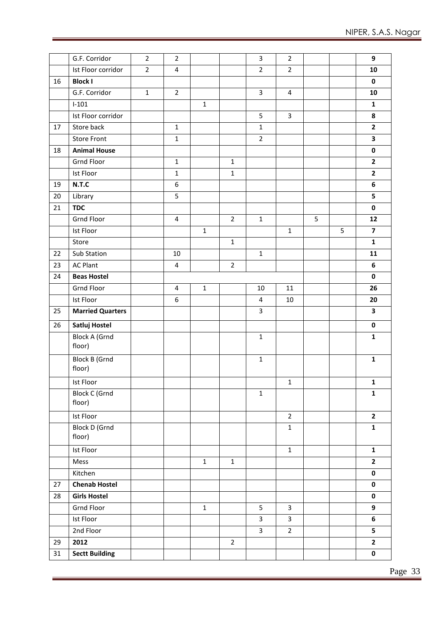|    | G.F. Corridor                  | $\overline{2}$ | $\overline{2}$ |              |                | $\mathbf{3}$   | $\overline{2}$          |   |   | 9                       |
|----|--------------------------------|----------------|----------------|--------------|----------------|----------------|-------------------------|---|---|-------------------------|
|    | Ist Floor corridor             | $\overline{2}$ | $\overline{4}$ |              |                | $\overline{2}$ | $\overline{2}$          |   |   | 10                      |
| 16 | <b>Block I</b>                 |                |                |              |                |                |                         |   |   | $\mathbf 0$             |
|    | G.F. Corridor                  | $\mathbf{1}$   | $\mathbf 2$    |              |                | 3              | $\overline{4}$          |   |   | 10                      |
|    | $I-101$                        |                |                | $\mathbf 1$  |                |                |                         |   |   | $\mathbf{1}$            |
|    | Ist Floor corridor             |                |                |              |                | 5              | $\overline{\mathbf{3}}$ |   |   | 8                       |
| 17 | Store back                     |                | $\mathbf 1$    |              |                | $\mathbf{1}$   |                         |   |   | $\overline{\mathbf{2}}$ |
|    | <b>Store Front</b>             |                | $\mathbf 1$    |              |                | $\overline{2}$ |                         |   |   | 3                       |
| 18 | <b>Animal House</b>            |                |                |              |                |                |                         |   |   | $\pmb{0}$               |
|    | <b>Grnd Floor</b>              |                | $\mathbf 1$    |              | $\mathbf 1$    |                |                         |   |   | $\mathbf{2}$            |
|    | Ist Floor                      |                | $\mathbf{1}$   |              | $\mathbf 1$    |                |                         |   |   | $\overline{2}$          |
| 19 | N.T.C                          |                | 6              |              |                |                |                         |   |   | 6                       |
| 20 | Library                        |                | 5              |              |                |                |                         |   |   | 5                       |
| 21 | <b>TDC</b>                     |                |                |              |                |                |                         |   |   | $\mathbf 0$             |
|    | Grnd Floor                     |                | $\overline{4}$ |              | $\overline{2}$ | $\mathbf 1$    |                         | 5 |   | 12                      |
|    | Ist Floor                      |                |                | $1\,$        |                |                | $\mathbf{1}$            |   | 5 | $\overline{\mathbf{z}}$ |
|    | Store                          |                |                |              | $\mathbf 1$    |                |                         |   |   | $\mathbf{1}$            |
| 22 | Sub Station                    |                | $10\,$         |              |                | $\mathbf{1}$   |                         |   |   | 11                      |
| 23 | <b>AC Plant</b>                |                | $\overline{4}$ |              | $\overline{2}$ |                |                         |   |   | 6                       |
| 24 | <b>Beas Hostel</b>             |                |                |              |                |                |                         |   |   | $\pmb{0}$               |
|    | <b>Grnd Floor</b>              |                | $\overline{4}$ | $\mathbf{1}$ |                | 10             | 11                      |   |   | 26                      |
|    | Ist Floor                      |                | 6              |              |                | 4              | 10                      |   |   | 20                      |
| 25 | <b>Married Quarters</b>        |                |                |              |                | $\overline{3}$ |                         |   |   | 3                       |
| 26 | Satluj Hostel                  |                |                |              |                |                |                         |   |   | $\pmb{0}$               |
|    | <b>Block A (Grnd</b><br>floor) |                |                |              |                | $\mathbf 1$    |                         |   |   | $\mathbf 1$             |
|    | <b>Block B (Grnd</b><br>floor) |                |                |              |                | $\mathbf{1}$   |                         |   |   | $\mathbf{1}$            |
|    | Ist Floor                      |                |                |              |                |                | $\mathbf 1$             |   |   | $\mathbf 1$             |
|    | <b>Block C (Grnd</b><br>floor) |                |                |              |                | $\mathbf 1$    |                         |   |   | $\mathbf{1}$            |
|    | <b>Ist Floor</b>               |                |                |              |                |                | $\overline{2}$          |   |   | $\overline{2}$          |
|    | <b>Block D (Grnd</b><br>floor) |                |                |              |                |                | $\mathbf 1$             |   |   | $\mathbf{1}$            |
|    | Ist Floor                      |                |                |              |                |                | $\mathbf 1$             |   |   | $\mathbf{1}$            |
|    | Mess                           |                |                | $\mathbf{1}$ | $\mathbf{1}$   |                |                         |   |   | $\overline{2}$          |
|    | Kitchen                        |                |                |              |                |                |                         |   |   | $\pmb{0}$               |
| 27 | <b>Chenab Hostel</b>           |                |                |              |                |                |                         |   |   | $\pmb{0}$               |
| 28 | <b>Girls Hostel</b>            |                |                |              |                |                |                         |   |   | $\pmb{0}$               |
|    | Grnd Floor                     |                |                | $\mathbf 1$  |                | 5              | $\mathbf{3}$            |   |   | 9                       |
|    | Ist Floor                      |                |                |              |                | 3              | $\overline{3}$          |   |   | 6                       |
|    | 2nd Floor                      |                |                |              |                | 3              | $\overline{2}$          |   |   | 5                       |
| 29 | 2012                           |                |                |              | $\overline{2}$ |                |                         |   |   | $\overline{2}$          |
| 31 | <b>Sectt Building</b>          |                |                |              |                |                |                         |   |   | $\pmb{0}$               |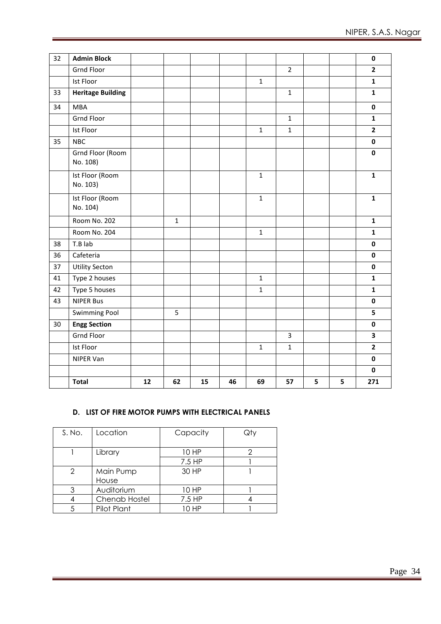| 32 | <b>Admin Block</b>           |    |             |    |    |              |                |   |   | 0                       |
|----|------------------------------|----|-------------|----|----|--------------|----------------|---|---|-------------------------|
|    | <b>Grnd Floor</b>            |    |             |    |    |              | $\overline{2}$ |   |   | $\overline{2}$          |
|    | Ist Floor                    |    |             |    |    | $\mathbf{1}$ |                |   |   | $\mathbf{1}$            |
| 33 | <b>Heritage Building</b>     |    |             |    |    |              | $\mathbf{1}$   |   |   | $\mathbf{1}$            |
| 34 | <b>MBA</b>                   |    |             |    |    |              |                |   |   | $\pmb{0}$               |
|    | <b>Grnd Floor</b>            |    |             |    |    |              | $\mathbf{1}$   |   |   | $\mathbf{1}$            |
|    | Ist Floor                    |    |             |    |    | $\mathbf{1}$ | $\mathbf{1}$   |   |   | $\overline{2}$          |
| 35 | <b>NBC</b>                   |    |             |    |    |              |                |   |   | $\pmb{0}$               |
|    | Grnd Floor (Room<br>No. 108) |    |             |    |    |              |                |   |   | $\mathbf 0$             |
|    | Ist Floor (Room<br>No. 103)  |    |             |    |    | $\mathbf{1}$ |                |   |   | $\mathbf 1$             |
|    | Ist Floor (Room<br>No. 104)  |    |             |    |    | $\mathbf{1}$ |                |   |   | $\mathbf 1$             |
|    | Room No. 202                 |    | $\mathbf 1$ |    |    |              |                |   |   | $\mathbf{1}$            |
|    | Room No. 204                 |    |             |    |    | $\mathbf{1}$ |                |   |   | $\mathbf{1}$            |
| 38 | T.B lab                      |    |             |    |    |              |                |   |   | $\mathbf 0$             |
| 36 | Cafeteria                    |    |             |    |    |              |                |   |   | $\mathbf 0$             |
| 37 | <b>Utility Secton</b>        |    |             |    |    |              |                |   |   | $\mathbf 0$             |
| 41 | Type 2 houses                |    |             |    |    | $\mathbf{1}$ |                |   |   | $\mathbf{1}$            |
| 42 | Type 5 houses                |    |             |    |    | $\mathbf{1}$ |                |   |   | $\mathbf{1}$            |
| 43 | <b>NIPER Bus</b>             |    |             |    |    |              |                |   |   | $\pmb{0}$               |
|    | <b>Swimming Pool</b>         |    | 5           |    |    |              |                |   |   | 5                       |
| 30 | <b>Engg Section</b>          |    |             |    |    |              |                |   |   | $\pmb{0}$               |
|    | <b>Grnd Floor</b>            |    |             |    |    |              | 3              |   |   | $\overline{\mathbf{3}}$ |
|    | Ist Floor                    |    |             |    |    | $\mathbf{1}$ | $\mathbf 1$    |   |   | $\mathbf{2}$            |
|    | NIPER Van                    |    |             |    |    |              |                |   |   | $\mathbf 0$             |
|    |                              |    |             |    |    |              |                |   |   | $\mathbf 0$             |
|    | <b>Total</b>                 | 12 | 62          | 15 | 46 | 69           | 57             | 5 | 5 | 271                     |

#### **D. LIST OF FIRE MOTOR PUMPS WITH ELECTRICAL PANELS**

| S. No. | Location      | Capacity | Qty |
|--------|---------------|----------|-----|
|        |               |          |     |
|        | Library       | 10 HP    |     |
|        |               | 7.5 HP   |     |
| 2      | Main Pump     | 30 HP    |     |
|        | House         |          |     |
| 3      | Auditorium    | 10 HP    |     |
|        | Chenab Hostel | 7.5 HP   |     |
|        | Pilot Plant   | 10 HP    |     |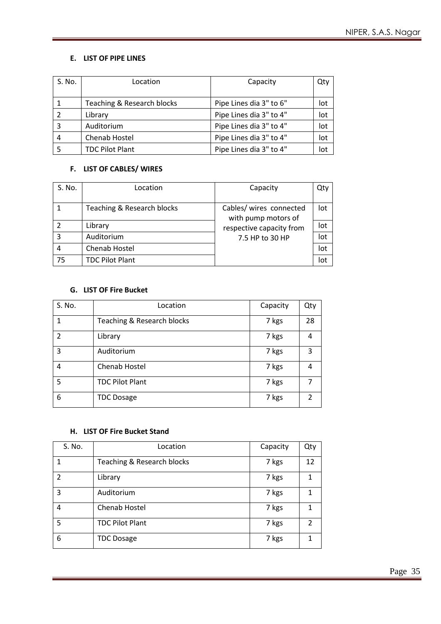#### **E. LIST OF PIPE LINES**

| S. No. | Location                   | Capacity                | Qty |
|--------|----------------------------|-------------------------|-----|
|        |                            |                         |     |
|        | Teaching & Research blocks | Pipe Lines dia 3" to 6" | lot |
|        | Library                    | Pipe Lines dia 3" to 4" | lot |
| 3      | Auditorium                 | Pipe Lines dia 3" to 4" | lot |
| 4      | Chenab Hostel              | Pipe Lines dia 3" to 4" | lot |
|        | <b>TDC Pilot Plant</b>     | Pipe Lines dia 3" to 4" | lot |

#### **F. LIST OF CABLES/ WIRES**

| S. No. | Location                   | Capacity                                       | Qty |
|--------|----------------------------|------------------------------------------------|-----|
|        |                            |                                                |     |
|        | Teaching & Research blocks | Cables/ wires connected<br>with pump motors of | lot |
|        | Library                    | respective capacity from                       | lot |
| 3      | Auditorium                 | 7.5 HP to 30 HP                                | lot |
| 4      | Chenab Hostel              |                                                | lot |
| 75     | <b>TDC Pilot Plant</b>     |                                                | lot |

#### **G. LIST OF Fire Bucket**

| S. No.        | Location                   | Capacity | Qty |
|---------------|----------------------------|----------|-----|
|               | Teaching & Research blocks | 7 kgs    | 28  |
| $\mathcal{P}$ | Library                    | 7 kgs    | 4   |
| 3             | Auditorium                 | 7 kgs    | 3   |
| 4             | Chenab Hostel              | 7 kgs    | 4   |
| 5             | <b>TDC Pilot Plant</b>     | 7 kgs    | 7   |
| 6             | <b>TDC Dosage</b>          | 7 kgs    | 2   |

#### **H. LIST OF Fire Bucket Stand**

| S. No.         | Location                   | Capacity | Qty           |
|----------------|----------------------------|----------|---------------|
|                | Teaching & Research blocks | 7 kgs    | 12            |
| $\mathfrak{p}$ | Library                    | 7 kgs    | 1             |
| 3              | Auditorium                 | 7 kgs    |               |
| 4              | Chenab Hostel              | 7 kgs    |               |
| 5              | <b>TDC Pilot Plant</b>     | 7 kgs    | $\mathcal{P}$ |
| 6              | <b>TDC Dosage</b>          | 7 kgs    |               |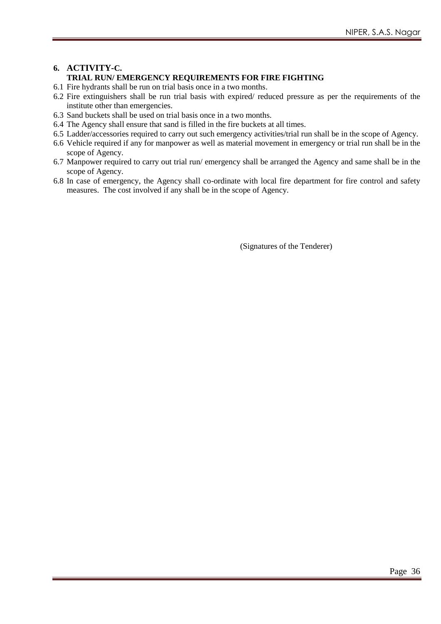#### **6. ACTIVITY-C. TRIAL RUN/ EMERGENCY REQUIREMENTS FOR FIRE FIGHTING**

- 6.1 Fire hydrants shall be run on trial basis once in a two months.
- 6.2 Fire extinguishers shall be run trial basis with expired/ reduced pressure as per the requirements of the institute other than emergencies.
- 6.3 Sand buckets shall be used on trial basis once in a two months.
- 6.4 The Agency shall ensure that sand is filled in the fire buckets at all times.
- 6.5 Ladder/accessories required to carry out such emergency activities/trial run shall be in the scope of Agency.
- 6.6 Vehicle required if any for manpower as well as material movement in emergency or trial run shall be in the scope of Agency.
- 6.7 Manpower required to carry out trial run/ emergency shall be arranged the Agency and same shall be in the scope of Agency.
- 6.8 In case of emergency, the Agency shall co-ordinate with local fire department for fire control and safety measures. The cost involved if any shall be in the scope of Agency.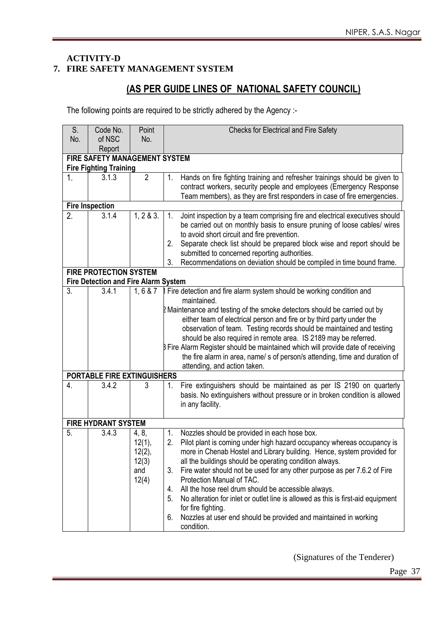#### **ACTIVITY-D 7. FIRE SAFETY MANAGEMENT SYSTEM**

## **(AS PER GUIDE LINES OF NATIONAL SAFETY COUNCIL)**

The following points are required to be strictly adhered by the Agency :-

| S.               | Code No.                                                                     | Point          | Checks for Electrical and Fire Safety                                                                                                                         |  |  |  |  |  |  |  |
|------------------|------------------------------------------------------------------------------|----------------|---------------------------------------------------------------------------------------------------------------------------------------------------------------|--|--|--|--|--|--|--|
| No.              | of NSC                                                                       | No.            |                                                                                                                                                               |  |  |  |  |  |  |  |
|                  | Report                                                                       |                |                                                                                                                                                               |  |  |  |  |  |  |  |
|                  | FIRE SAFETY MANAGEMENT SYSTEM                                                |                |                                                                                                                                                               |  |  |  |  |  |  |  |
|                  | <b>Fire Fighting Training</b>                                                |                |                                                                                                                                                               |  |  |  |  |  |  |  |
| $1_{\cdot}$      | 3.1.3                                                                        | $\overline{2}$ | Hands on fire fighting training and refresher trainings should be given to<br>1.                                                                              |  |  |  |  |  |  |  |
|                  |                                                                              |                | contract workers, security people and employees (Emergency Response                                                                                           |  |  |  |  |  |  |  |
|                  |                                                                              |                | Team members), as they are first responders in case of fire emergencies.                                                                                      |  |  |  |  |  |  |  |
|                  | <b>Fire Inspection</b>                                                       |                |                                                                                                                                                               |  |  |  |  |  |  |  |
| $\overline{2}$ . | 3.1.4                                                                        | 1, 2 & 3.      | Joint inspection by a team comprising fire and electrical executives should<br>1.<br>be carried out on monthly basis to ensure pruning of loose cables/ wires |  |  |  |  |  |  |  |
|                  |                                                                              |                | to avoid short circuit and fire prevention.                                                                                                                   |  |  |  |  |  |  |  |
|                  |                                                                              |                | Separate check list should be prepared block wise and report should be<br>2.                                                                                  |  |  |  |  |  |  |  |
|                  |                                                                              |                | submitted to concerned reporting authorities.                                                                                                                 |  |  |  |  |  |  |  |
|                  |                                                                              |                | Recommendations on deviation should be compiled in time bound frame.<br>3.                                                                                    |  |  |  |  |  |  |  |
|                  | <b>FIRE PROTECTION SYSTEM</b><br><b>Fire Detection and Fire Alarm System</b> |                |                                                                                                                                                               |  |  |  |  |  |  |  |
| 3.               | 3.4.1                                                                        | 1, 6 & 7       | Fire detection and fire alarm system should be working condition and                                                                                          |  |  |  |  |  |  |  |
|                  |                                                                              |                | maintained.                                                                                                                                                   |  |  |  |  |  |  |  |
|                  |                                                                              |                | 2 Maintenance and testing of the smoke detectors should be carried out by                                                                                     |  |  |  |  |  |  |  |
|                  |                                                                              |                | either team of electrical person and fire or by third party under the                                                                                         |  |  |  |  |  |  |  |
|                  |                                                                              |                | observation of team. Testing records should be maintained and testing                                                                                         |  |  |  |  |  |  |  |
|                  |                                                                              |                | should be also required in remote area. IS 2189 may be referred.                                                                                              |  |  |  |  |  |  |  |
|                  |                                                                              |                | B Fire Alarm Register should be maintained which will provide date of receiving                                                                               |  |  |  |  |  |  |  |
|                  |                                                                              |                | the fire alarm in area, name/s of person/s attending, time and duration of                                                                                    |  |  |  |  |  |  |  |
|                  |                                                                              |                | attending, and action taken.                                                                                                                                  |  |  |  |  |  |  |  |
|                  | <b>PORTABLE FIRE EXTINGUISHERS</b>                                           |                |                                                                                                                                                               |  |  |  |  |  |  |  |
| $\overline{4}$ . | 3.4.2                                                                        | 3              | Fire extinguishers should be maintained as per IS 2190 on quarterly<br>1.<br>basis. No extinguishers without pressure or in broken condition is allowed       |  |  |  |  |  |  |  |
|                  |                                                                              |                | in any facility.                                                                                                                                              |  |  |  |  |  |  |  |
|                  |                                                                              |                |                                                                                                                                                               |  |  |  |  |  |  |  |
|                  | <b>FIRE HYDRANT SYSTEM</b>                                                   |                |                                                                                                                                                               |  |  |  |  |  |  |  |
| 5.               | 3.4.3                                                                        | 4, 8,          | Nozzles should be provided in each hose box.<br>1.                                                                                                            |  |  |  |  |  |  |  |
|                  |                                                                              | 12(1),         | Pilot plant is coming under high hazard occupancy whereas occupancy is<br>2.                                                                                  |  |  |  |  |  |  |  |
|                  |                                                                              | 12(2),         | more in Chenab Hostel and Library building. Hence, system provided for                                                                                        |  |  |  |  |  |  |  |
|                  |                                                                              | 12(3)          | all the buildings should be operating condition always.                                                                                                       |  |  |  |  |  |  |  |
|                  |                                                                              | and            | Fire water should not be used for any other purpose as per 7.6.2 of Fire<br>3.                                                                                |  |  |  |  |  |  |  |
|                  |                                                                              | 12(4)          | Protection Manual of TAC.                                                                                                                                     |  |  |  |  |  |  |  |
|                  |                                                                              |                | All the hose reel drum should be accessible always.<br>4.                                                                                                     |  |  |  |  |  |  |  |
|                  |                                                                              |                | No alteration for inlet or outlet line is allowed as this is first-aid equipment<br>5.                                                                        |  |  |  |  |  |  |  |
|                  |                                                                              |                | for fire fighting.<br>Nozzles at user end should be provided and maintained in working                                                                        |  |  |  |  |  |  |  |
|                  |                                                                              |                | 6.<br>condition.                                                                                                                                              |  |  |  |  |  |  |  |
|                  |                                                                              |                |                                                                                                                                                               |  |  |  |  |  |  |  |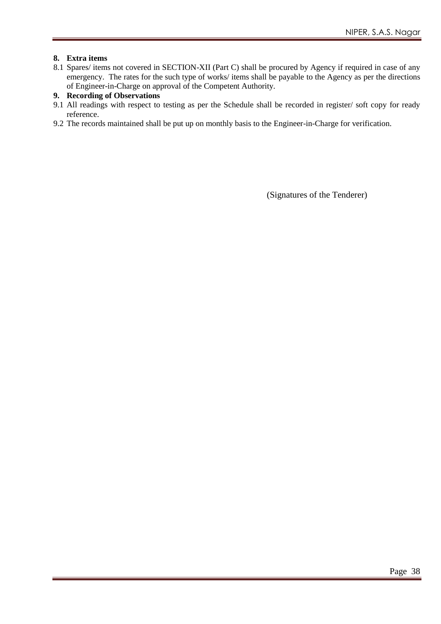#### **8. Extra items**

8.1 Spares/ items not covered in SECTION-XII (Part C) shall be procured by Agency if required in case of any emergency. The rates for the such type of works/ items shall be payable to the Agency as per the directions of Engineer-in-Charge on approval of the Competent Authority.

#### **9. Recording of Observations**

- 9.1 All readings with respect to testing as per the Schedule shall be recorded in register/ soft copy for ready reference.
- 9.2 The records maintained shall be put up on monthly basis to the Engineer-in-Charge for verification.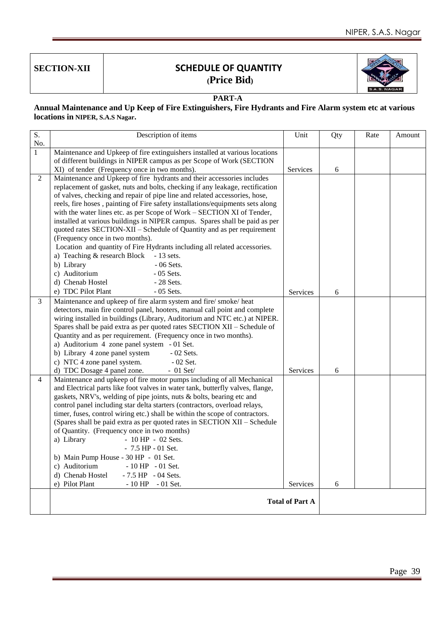

#### **PART-A**

**Annual Maintenance and Up Keep of Fire Extinguishers, Fire Hydrants and Fire Alarm system etc at various locations in NIPER, S.A.S Nagar.**

| S.<br>No.      | Description of items                                                                 | Unit                   | Qty | Rate | Amount |
|----------------|--------------------------------------------------------------------------------------|------------------------|-----|------|--------|
| $\mathbf{1}$   | Maintenance and Upkeep of fire extinguishers installed at various locations          |                        |     |      |        |
|                | of different buildings in NIPER campus as per Scope of Work (SECTION                 |                        |     |      |        |
|                | XI) of tender (Frequency once in two months).                                        | Services               | 6   |      |        |
| 2              | Maintenance and Upkeep of fire hydrants and their accessories includes               |                        |     |      |        |
|                | replacement of gasket, nuts and bolts, checking if any leakage, rectification        |                        |     |      |        |
|                | of valves, checking and repair of pipe line and related accessories, hose,           |                        |     |      |        |
|                | reels, fire hoses, painting of Fire safety installations/equipments sets along       |                        |     |      |        |
|                | with the water lines etc. as per Scope of Work - SECTION XI of Tender,               |                        |     |      |        |
|                | installed at various buildings in NIPER campus. Spares shall be paid as per          |                        |     |      |        |
|                | quoted rates SECTION-XII - Schedule of Quantity and as per requirement               |                        |     |      |        |
|                | (Frequency once in two months).                                                      |                        |     |      |        |
|                | Location and quantity of Fire Hydrants including all related accessories.            |                        |     |      |        |
|                | a) Teaching & research Block<br>$-13$ sets.                                          |                        |     |      |        |
|                | b) Library<br>$-06$ Sets.                                                            |                        |     |      |        |
|                | c) Auditorium<br>$-05$ Sets.                                                         |                        |     |      |        |
|                | d) Chenab Hostel<br>$-28$ Sets.                                                      |                        |     |      |        |
|                | e) TDC Pilot Plant<br>$-05$ Sets.                                                    | Services               | 6   |      |        |
| 3              | Maintenance and upkeep of fire alarm system and fire/ smoke/ heat                    |                        |     |      |        |
|                | detectors, main fire control panel, hooters, manual call point and complete          |                        |     |      |        |
|                | wiring installed in buildings (Library, Auditorium and NTC etc.) at NIPER.           |                        |     |      |        |
|                | Spares shall be paid extra as per quoted rates SECTION XII - Schedule of             |                        |     |      |        |
|                | Quantity and as per requirement. (Frequency once in two months).                     |                        |     |      |        |
|                | a) Auditorium 4 zone panel system - 01 Set.                                          |                        |     |      |        |
|                | b) Library 4 zone panel system<br>$-02$ Sets.                                        |                        |     |      |        |
|                | c) NTC 4 zone panel system.<br>$-02$ Set.<br>d) TDC Dosage 4 panel zone.             |                        |     |      |        |
| $\overline{4}$ | $-01$ Set/<br>Maintenance and upkeep of fire motor pumps including of all Mechanical | Services               | 6   |      |        |
|                | and Electrical parts like foot valves in water tank, butterfly valves, flange,       |                        |     |      |        |
|                | gaskets, NRV's, welding of pipe joints, nuts & bolts, bearing etc and                |                        |     |      |        |
|                | control panel including star delta starters (contractors, overload relays,           |                        |     |      |        |
|                | timer, fuses, control wiring etc.) shall be within the scope of contractors.         |                        |     |      |        |
|                | (Spares shall be paid extra as per quoted rates in SECTION XII - Schedule            |                        |     |      |        |
|                | of Quantity. (Frequency once in two months)                                          |                        |     |      |        |
|                | a) Library<br>$-10$ HP $-02$ Sets.                                                   |                        |     |      |        |
|                | $-7.5$ HP $-01$ Set.                                                                 |                        |     |      |        |
|                | b) Main Pump House - 30 HP - 01 Set.                                                 |                        |     |      |        |
|                | c) Auditorium<br>$-10$ HP $-01$ Set.                                                 |                        |     |      |        |
|                | d) Chenab Hostel<br>$-7.5$ HP $-04$ Sets.                                            |                        |     |      |        |
|                | e) Pilot Plant<br>$-10$ HP $-01$ Set.                                                | Services               | 6   |      |        |
|                |                                                                                      | <b>Total of Part A</b> |     |      |        |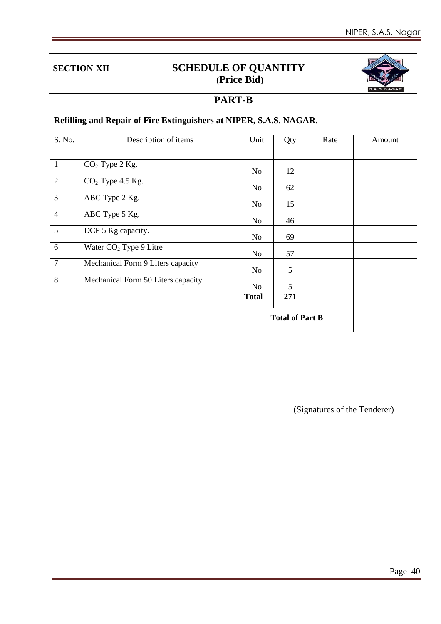

## **PART-B**

## **Refilling and Repair of Fire Extinguishers at NIPER, S.A.S. NAGAR.**

| S. No.         | Description of items               | Unit                   | Qty | Rate | Amount |
|----------------|------------------------------------|------------------------|-----|------|--------|
|                |                                    |                        |     |      |        |
| $\mathbf{1}$   | $CO2$ Type 2 Kg.                   | N <sub>o</sub>         | 12  |      |        |
| $\overline{2}$ | $CO2$ Type 4.5 Kg.                 | N <sub>o</sub>         | 62  |      |        |
| $\overline{3}$ | ABC Type 2 Kg.                     | N <sub>o</sub>         | 15  |      |        |
| $\overline{4}$ | ABC Type 5 Kg.                     | N <sub>o</sub>         | 46  |      |        |
| $\overline{5}$ | DCP 5 Kg capacity.                 | N <sub>0</sub>         | 69  |      |        |
| 6              | Water CO <sub>2</sub> Type 9 Litre | N <sub>o</sub>         | 57  |      |        |
| $\overline{7}$ | Mechanical Form 9 Liters capacity  | N <sub>o</sub>         | 5   |      |        |
| 8              | Mechanical Form 50 Liters capacity | N <sub>o</sub>         | 5   |      |        |
|                |                                    | <b>Total</b>           | 271 |      |        |
|                |                                    | <b>Total of Part B</b> |     |      |        |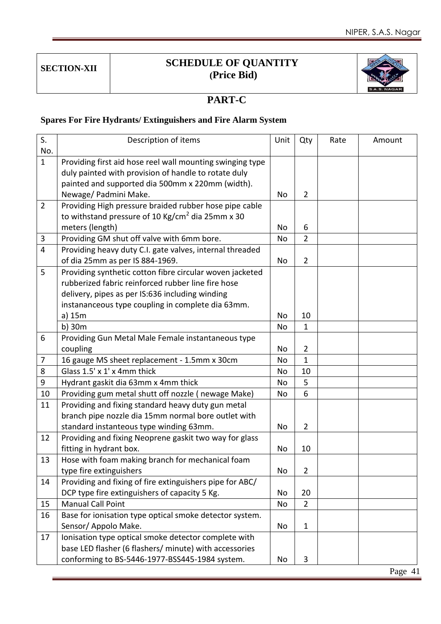

## **PART-C**

## **Spares For Fire Hydrants/ Extinguishers and Fire Alarm System**

| S.             | Description of items                                         | Unit      | Qty            | Rate | Amount |
|----------------|--------------------------------------------------------------|-----------|----------------|------|--------|
| No.            |                                                              |           |                |      |        |
| $\mathbf{1}$   | Providing first aid hose reel wall mounting swinging type    |           |                |      |        |
|                | duly painted with provision of handle to rotate duly         |           |                |      |        |
|                | painted and supported dia 500mm x 220mm (width).             |           |                |      |        |
|                | Newage/ Padmini Make.                                        | No        | $\overline{2}$ |      |        |
| $\overline{2}$ | Providing High pressure braided rubber hose pipe cable       |           |                |      |        |
|                | to withstand pressure of 10 Kg/cm <sup>2</sup> dia 25mm x 30 |           |                |      |        |
|                | meters (length)                                              | <b>No</b> | 6              |      |        |
| 3              | Providing GM shut off valve with 6mm bore.                   | No        | $\overline{2}$ |      |        |
| $\overline{4}$ | Providing heavy duty C.I. gate valves, internal threaded     |           |                |      |        |
|                | of dia 25mm as per IS 884-1969.                              | No        | $\overline{2}$ |      |        |
| 5              | Providing synthetic cotton fibre circular woven jacketed     |           |                |      |        |
|                | rubberized fabric reinforced rubber line fire hose           |           |                |      |        |
|                | delivery, pipes as per IS:636 including winding              |           |                |      |        |
|                | instananceous type coupling in complete dia 63mm.            |           |                |      |        |
|                | a) 15m                                                       | No        | 10             |      |        |
|                | $b)$ 30 $m$                                                  | No        | 1              |      |        |
| 6              | Providing Gun Metal Male Female instantaneous type           |           |                |      |        |
|                | coupling                                                     | No        | $\overline{2}$ |      |        |
| 7              | 16 gauge MS sheet replacement - 1.5mm x 30cm                 | <b>No</b> | $\mathbf{1}$   |      |        |
| 8              | Glass 1.5' x 1' x 4mm thick                                  | No        | 10             |      |        |
| 9              | Hydrant gaskit dia 63mm x 4mm thick                          | No        | 5              |      |        |
| 10             | Providing gum metal shutt off nozzle (newage Make)           | No        | 6              |      |        |
| 11             | Providing and fixing standard heavy duty gun metal           |           |                |      |        |
|                | branch pipe nozzle dia 15mm normal bore outlet with          |           |                |      |        |
|                | standard instanteous type winding 63mm.                      | No        | $\overline{2}$ |      |        |
| 12             | Providing and fixing Neoprene gaskit two way for glass       |           |                |      |        |
|                | fitting in hydrant box.                                      | No        | 10             |      |        |
| 13             | Hose with foam making branch for mechanical foam             |           |                |      |        |
|                | type fire extinguishers                                      | No        | $\overline{2}$ |      |        |
| 14             | Providing and fixing of fire extinguishers pipe for ABC/     |           |                |      |        |
|                | DCP type fire extinguishers of capacity 5 Kg.                | No        | 20             |      |        |
| 15             | <b>Manual Call Point</b>                                     | No        | $\overline{2}$ |      |        |
| 16             | Base for ionisation type optical smoke detector system.      |           |                |      |        |
|                | Sensor/ Appolo Make.                                         | No        | $\mathbf{1}$   |      |        |
| 17             | Ionisation type optical smoke detector complete with         |           |                |      |        |
|                | base LED flasher (6 flashers/ minute) with accessories       |           |                |      |        |
|                | conforming to BS-5446-1977-BSS445-1984 system.               | No        | 3              |      |        |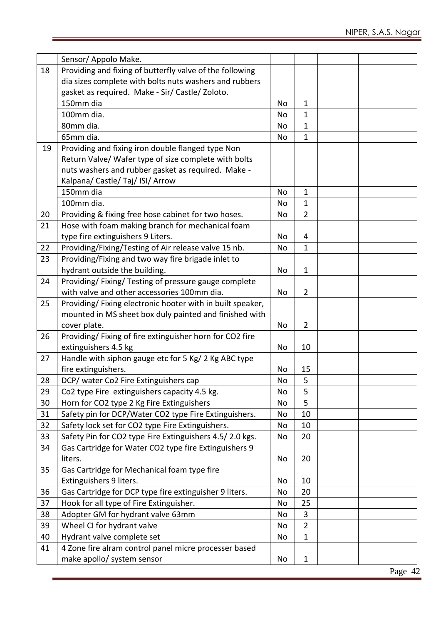|    | Sensor/ Appolo Make.                                      |    |                |  |
|----|-----------------------------------------------------------|----|----------------|--|
| 18 | Providing and fixing of butterfly valve of the following  |    |                |  |
|    | dia sizes complete with bolts nuts washers and rubbers    |    |                |  |
|    | gasket as required. Make - Sir/ Castle/ Zoloto.           |    |                |  |
|    | 150mm dia                                                 | No | 1              |  |
|    | 100mm dia.                                                | No | $\mathbf{1}$   |  |
|    | 80mm dia.                                                 | No | 1              |  |
|    | 65mm dia.                                                 | No | $\mathbf{1}$   |  |
| 19 | Providing and fixing iron double flanged type Non         |    |                |  |
|    | Return Valve/ Wafer type of size complete with bolts      |    |                |  |
|    | nuts washers and rubber gasket as required. Make -        |    |                |  |
|    | Kalpana/ Castle/ Taj/ ISI/ Arrow                          |    |                |  |
|    | 150mm dia                                                 | No | 1              |  |
|    | 100mm dia.                                                | No | $\mathbf{1}$   |  |
| 20 | Providing & fixing free hose cabinet for two hoses.       | No | $\overline{2}$ |  |
| 21 | Hose with foam making branch for mechanical foam          |    |                |  |
|    | type fire extinguishers 9 Liters.                         | No | 4              |  |
| 22 | Providing/Fixing/Testing of Air release valve 15 nb.      | No | $\mathbf{1}$   |  |
| 23 | Providing/Fixing and two way fire brigade inlet to        |    |                |  |
|    | hydrant outside the building.                             | No | $\mathbf{1}$   |  |
| 24 | Providing/ Fixing/ Testing of pressure gauge complete     |    |                |  |
|    | with valve and other accessories 100mm dia.               | No | $\overline{2}$ |  |
| 25 | Providing/Fixing electronic hooter with in built speaker, |    |                |  |
|    | mounted in MS sheet box duly painted and finished with    |    |                |  |
|    | cover plate.                                              | No | $\overline{2}$ |  |
| 26 | Providing/Fixing of fire extinguisher horn for CO2 fire   |    |                |  |
|    | extinguishers 4.5 kg                                      | No | 10             |  |
| 27 | Handle with siphon gauge etc for 5 Kg/ 2 Kg ABC type      |    |                |  |
|    | fire extinguishers.                                       | No | 15             |  |
| 28 | DCP/ water Co2 Fire Extinguishers cap                     | No | 5              |  |
| 29 | Co2 type Fire extinguishers capacity 4.5 kg.              | No | 5              |  |
| 30 | Horn for CO2 type 2 Kg Fire Extinguishers                 | No | 5              |  |
| 31 | Safety pin for DCP/Water CO2 type Fire Extinguishers.     | No | 10             |  |
| 32 | Safety lock set for CO2 type Fire Extinguishers.          | No | 10             |  |
| 33 | Safety Pin for CO2 type Fire Extinguishers 4.5/2.0 kgs.   | No | 20             |  |
| 34 | Gas Cartridge for Water CO2 type fire Extinguishers 9     |    |                |  |
|    | liters.                                                   | No | 20             |  |
| 35 | Gas Cartridge for Mechanical foam type fire               |    |                |  |
|    | Extinguishers 9 liters.                                   | No | 10             |  |
| 36 | Gas Cartridge for DCP type fire extinguisher 9 liters.    | No | 20             |  |
| 37 | Hook for all type of Fire Extinguisher.                   | No | 25             |  |
| 38 | Adopter GM for hydrant valve 63mm                         | No | 3              |  |
| 39 | Wheel CI for hydrant valve                                | No | $\overline{2}$ |  |
| 40 | Hydrant valve complete set                                | No | $\mathbf{1}$   |  |
| 41 | 4 Zone fire alram control panel micre processer based     |    |                |  |
|    | make apollo/ system sensor                                | No | $\mathbf{1}$   |  |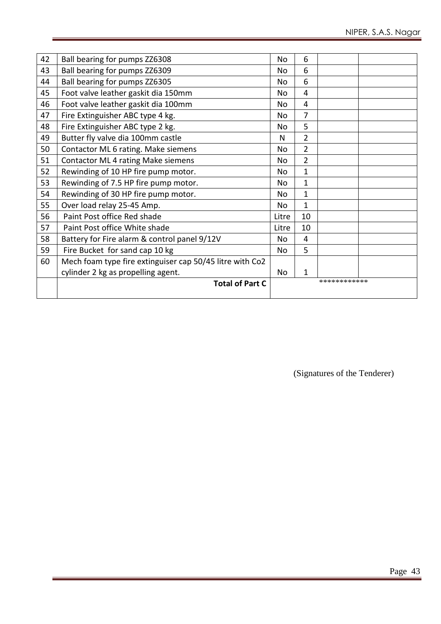| 42 | Ball bearing for pumps ZZ6308                            | No             | 6              |              |  |
|----|----------------------------------------------------------|----------------|----------------|--------------|--|
| 43 | Ball bearing for pumps ZZ6309                            | No             | 6              |              |  |
| 44 | Ball bearing for pumps ZZ6305                            | No             | 6              |              |  |
| 45 | Foot valve leather gaskit dia 150mm                      | No.            | 4              |              |  |
| 46 | Foot valve leather gaskit dia 100mm                      | No             | 4              |              |  |
| 47 | Fire Extinguisher ABC type 4 kg.                         | No             | 7              |              |  |
| 48 | Fire Extinguisher ABC type 2 kg.                         | No             | 5              |              |  |
| 49 | Butter fly valve dia 100mm castle                        | N              | $\overline{2}$ |              |  |
| 50 | Contactor ML 6 rating. Make siemens                      | No.            | $\overline{2}$ |              |  |
| 51 | Contactor ML 4 rating Make siemens                       | No.            | $\overline{2}$ |              |  |
| 52 | Rewinding of 10 HP fire pump motor.                      | No             | 1              |              |  |
| 53 | Rewinding of 7.5 HP fire pump motor.                     | No             | 1              |              |  |
| 54 | Rewinding of 30 HP fire pump motor.                      | No             | $\mathbf{1}$   |              |  |
| 55 | Over load relay 25-45 Amp.                               | N <sub>o</sub> | 1              |              |  |
| 56 | Paint Post office Red shade                              | Litre          | 10             |              |  |
| 57 | Paint Post office White shade                            | Litre          | 10             |              |  |
| 58 | Battery for Fire alarm & control panel 9/12V             | No             | 4              |              |  |
| 59 | Fire Bucket for sand cap 10 kg                           | No.            | 5              |              |  |
| 60 | Mech foam type fire extinguiser cap 50/45 litre with Co2 |                |                |              |  |
|    | cylinder 2 kg as propelling agent.                       | No             | 1              |              |  |
|    | <b>Total of Part C</b>                                   |                |                | ************ |  |
|    |                                                          |                |                |              |  |